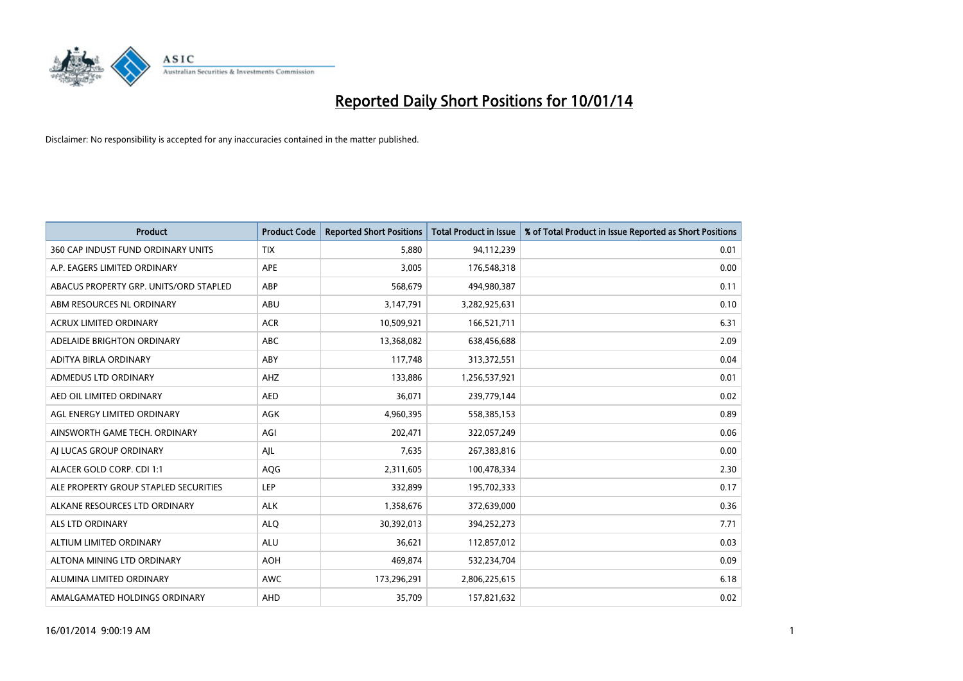

| <b>Product</b>                         | <b>Product Code</b> | <b>Reported Short Positions</b> | <b>Total Product in Issue</b> | % of Total Product in Issue Reported as Short Positions |
|----------------------------------------|---------------------|---------------------------------|-------------------------------|---------------------------------------------------------|
| 360 CAP INDUST FUND ORDINARY UNITS     | <b>TIX</b>          | 5,880                           | 94,112,239                    | 0.01                                                    |
| A.P. EAGERS LIMITED ORDINARY           | APE                 | 3,005                           | 176,548,318                   | 0.00                                                    |
| ABACUS PROPERTY GRP. UNITS/ORD STAPLED | ABP                 | 568,679                         | 494,980,387                   | 0.11                                                    |
| ABM RESOURCES NL ORDINARY              | ABU                 | 3,147,791                       | 3,282,925,631                 | 0.10                                                    |
| <b>ACRUX LIMITED ORDINARY</b>          | <b>ACR</b>          | 10,509,921                      | 166,521,711                   | 6.31                                                    |
| ADELAIDE BRIGHTON ORDINARY             | ABC                 | 13,368,082                      | 638,456,688                   | 2.09                                                    |
| ADITYA BIRLA ORDINARY                  | ABY                 | 117,748                         | 313,372,551                   | 0.04                                                    |
| ADMEDUS LTD ORDINARY                   | AHZ                 | 133,886                         | 1,256,537,921                 | 0.01                                                    |
| AED OIL LIMITED ORDINARY               | <b>AED</b>          | 36,071                          | 239,779,144                   | 0.02                                                    |
| AGL ENERGY LIMITED ORDINARY            | <b>AGK</b>          | 4,960,395                       | 558,385,153                   | 0.89                                                    |
| AINSWORTH GAME TECH. ORDINARY          | AGI                 | 202,471                         | 322,057,249                   | 0.06                                                    |
| AI LUCAS GROUP ORDINARY                | AJL                 | 7,635                           | 267,383,816                   | 0.00                                                    |
| ALACER GOLD CORP. CDI 1:1              | AQG                 | 2,311,605                       | 100,478,334                   | 2.30                                                    |
| ALE PROPERTY GROUP STAPLED SECURITIES  | LEP                 | 332,899                         | 195,702,333                   | 0.17                                                    |
| ALKANE RESOURCES LTD ORDINARY          | <b>ALK</b>          | 1,358,676                       | 372,639,000                   | 0.36                                                    |
| ALS LTD ORDINARY                       | <b>ALQ</b>          | 30,392,013                      | 394,252,273                   | 7.71                                                    |
| ALTIUM LIMITED ORDINARY                | <b>ALU</b>          | 36,621                          | 112,857,012                   | 0.03                                                    |
| ALTONA MINING LTD ORDINARY             | <b>AOH</b>          | 469,874                         | 532,234,704                   | 0.09                                                    |
| ALUMINA LIMITED ORDINARY               | <b>AWC</b>          | 173,296,291                     | 2,806,225,615                 | 6.18                                                    |
| AMALGAMATED HOLDINGS ORDINARY          | AHD                 | 35,709                          | 157,821,632                   | 0.02                                                    |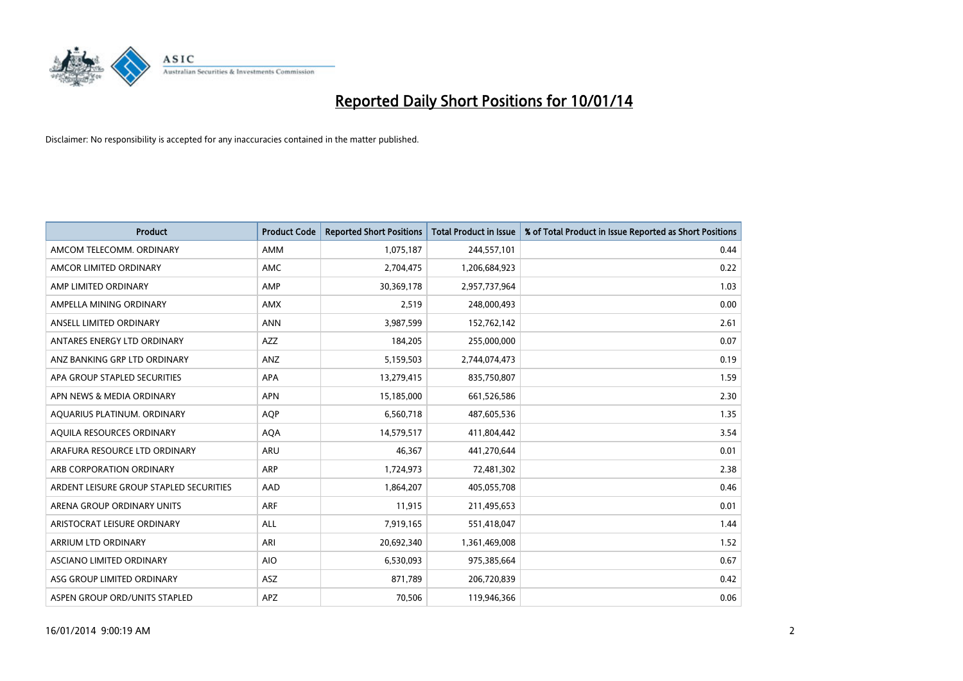

| <b>Product</b>                          | <b>Product Code</b> | <b>Reported Short Positions</b> | <b>Total Product in Issue</b> | % of Total Product in Issue Reported as Short Positions |
|-----------------------------------------|---------------------|---------------------------------|-------------------------------|---------------------------------------------------------|
| AMCOM TELECOMM, ORDINARY                | AMM                 | 1,075,187                       | 244,557,101                   | 0.44                                                    |
| AMCOR LIMITED ORDINARY                  | AMC                 | 2,704,475                       | 1,206,684,923                 | 0.22                                                    |
| AMP LIMITED ORDINARY                    | AMP                 | 30,369,178                      | 2,957,737,964                 | 1.03                                                    |
| AMPELLA MINING ORDINARY                 | <b>AMX</b>          | 2,519                           | 248,000,493                   | 0.00                                                    |
| ANSELL LIMITED ORDINARY                 | <b>ANN</b>          | 3,987,599                       | 152,762,142                   | 2.61                                                    |
| ANTARES ENERGY LTD ORDINARY             | <b>AZZ</b>          | 184,205                         | 255,000,000                   | 0.07                                                    |
| ANZ BANKING GRP LTD ORDINARY            | ANZ                 | 5,159,503                       | 2,744,074,473                 | 0.19                                                    |
| APA GROUP STAPLED SECURITIES            | APA                 | 13,279,415                      | 835,750,807                   | 1.59                                                    |
| APN NEWS & MEDIA ORDINARY               | <b>APN</b>          | 15,185,000                      | 661,526,586                   | 2.30                                                    |
| AQUARIUS PLATINUM. ORDINARY             | <b>AOP</b>          | 6,560,718                       | 487,605,536                   | 1.35                                                    |
| AQUILA RESOURCES ORDINARY               | <b>AQA</b>          | 14,579,517                      | 411,804,442                   | 3.54                                                    |
| ARAFURA RESOURCE LTD ORDINARY           | ARU                 | 46,367                          | 441,270,644                   | 0.01                                                    |
| ARB CORPORATION ORDINARY                | ARP                 | 1,724,973                       | 72,481,302                    | 2.38                                                    |
| ARDENT LEISURE GROUP STAPLED SECURITIES | AAD                 | 1,864,207                       | 405,055,708                   | 0.46                                                    |
| ARENA GROUP ORDINARY UNITS              | <b>ARF</b>          | 11,915                          | 211,495,653                   | 0.01                                                    |
| ARISTOCRAT LEISURE ORDINARY             | ALL                 | 7,919,165                       | 551,418,047                   | 1.44                                                    |
| ARRIUM LTD ORDINARY                     | ARI                 | 20,692,340                      | 1,361,469,008                 | 1.52                                                    |
| ASCIANO LIMITED ORDINARY                | <b>AIO</b>          | 6,530,093                       | 975,385,664                   | 0.67                                                    |
| ASG GROUP LIMITED ORDINARY              | ASZ                 | 871,789                         | 206,720,839                   | 0.42                                                    |
| ASPEN GROUP ORD/UNITS STAPLED           | APZ                 | 70,506                          | 119,946,366                   | 0.06                                                    |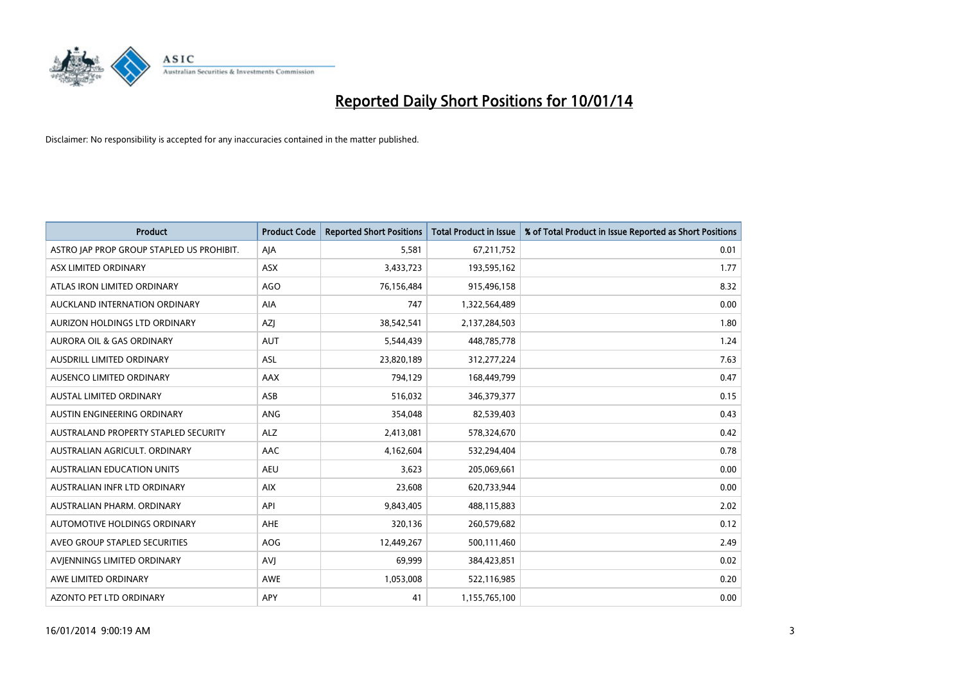

| <b>Product</b>                            | <b>Product Code</b> | <b>Reported Short Positions</b> | <b>Total Product in Issue</b> | % of Total Product in Issue Reported as Short Positions |
|-------------------------------------------|---------------------|---------------------------------|-------------------------------|---------------------------------------------------------|
| ASTRO JAP PROP GROUP STAPLED US PROHIBIT. | AJA                 | 5,581                           | 67,211,752                    | 0.01                                                    |
| ASX LIMITED ORDINARY                      | ASX                 | 3,433,723                       | 193,595,162                   | 1.77                                                    |
| ATLAS IRON LIMITED ORDINARY               | <b>AGO</b>          | 76,156,484                      | 915,496,158                   | 8.32                                                    |
| AUCKLAND INTERNATION ORDINARY             | AIA                 | 747                             | 1,322,564,489                 | 0.00                                                    |
| AURIZON HOLDINGS LTD ORDINARY             | AZJ                 | 38,542,541                      | 2,137,284,503                 | 1.80                                                    |
| <b>AURORA OIL &amp; GAS ORDINARY</b>      | <b>AUT</b>          | 5,544,439                       | 448,785,778                   | 1.24                                                    |
| AUSDRILL LIMITED ORDINARY                 | ASL                 | 23,820,189                      | 312,277,224                   | 7.63                                                    |
| AUSENCO LIMITED ORDINARY                  | AAX                 | 794,129                         | 168,449,799                   | 0.47                                                    |
| AUSTAL LIMITED ORDINARY                   | ASB                 | 516,032                         | 346,379,377                   | 0.15                                                    |
| AUSTIN ENGINEERING ORDINARY               | ANG                 | 354,048                         | 82,539,403                    | 0.43                                                    |
| AUSTRALAND PROPERTY STAPLED SECURITY      | <b>ALZ</b>          | 2,413,081                       | 578,324,670                   | 0.42                                                    |
| AUSTRALIAN AGRICULT, ORDINARY             | AAC                 | 4,162,604                       | 532,294,404                   | 0.78                                                    |
| AUSTRALIAN EDUCATION UNITS                | <b>AEU</b>          | 3,623                           | 205,069,661                   | 0.00                                                    |
| AUSTRALIAN INFR LTD ORDINARY              | <b>AIX</b>          | 23,608                          | 620,733,944                   | 0.00                                                    |
| AUSTRALIAN PHARM, ORDINARY                | API                 | 9,843,405                       | 488,115,883                   | 2.02                                                    |
| AUTOMOTIVE HOLDINGS ORDINARY              | AHE                 | 320,136                         | 260,579,682                   | 0.12                                                    |
| AVEO GROUP STAPLED SECURITIES             | AOG                 | 12,449,267                      | 500,111,460                   | 2.49                                                    |
| AVIENNINGS LIMITED ORDINARY               | <b>AVJ</b>          | 69,999                          | 384,423,851                   | 0.02                                                    |
| AWE LIMITED ORDINARY                      | <b>AWE</b>          | 1,053,008                       | 522,116,985                   | 0.20                                                    |
| AZONTO PET LTD ORDINARY                   | APY                 | 41                              | 1,155,765,100                 | 0.00                                                    |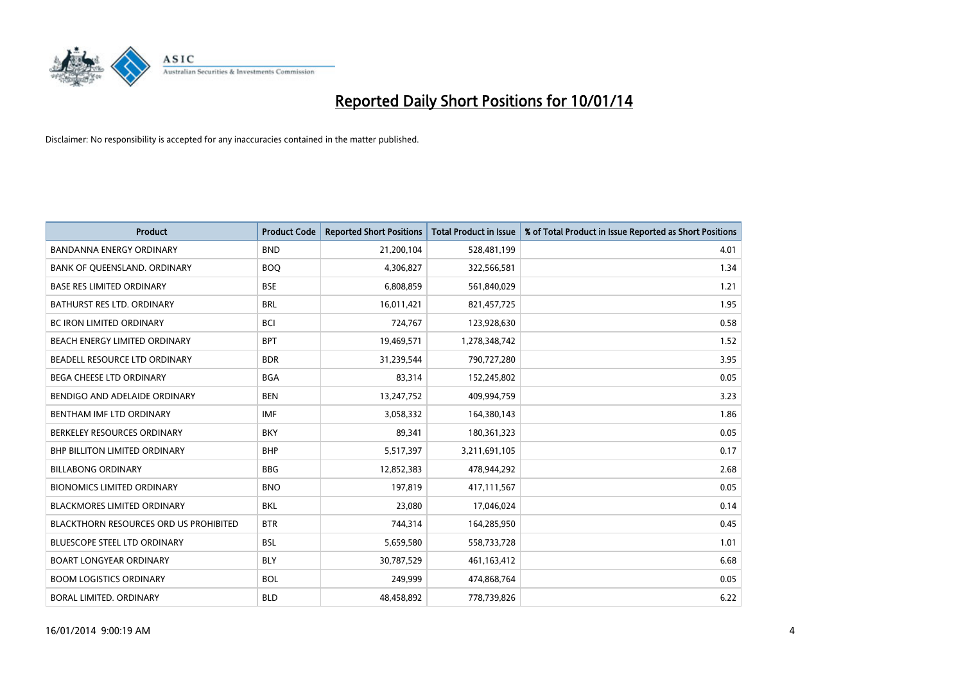

| <b>Product</b>                                | <b>Product Code</b> | <b>Reported Short Positions</b> | <b>Total Product in Issue</b> | % of Total Product in Issue Reported as Short Positions |
|-----------------------------------------------|---------------------|---------------------------------|-------------------------------|---------------------------------------------------------|
| <b>BANDANNA ENERGY ORDINARY</b>               | <b>BND</b>          | 21,200,104                      | 528,481,199                   | 4.01                                                    |
| BANK OF QUEENSLAND. ORDINARY                  | <b>BOQ</b>          | 4,306,827                       | 322,566,581                   | 1.34                                                    |
| <b>BASE RES LIMITED ORDINARY</b>              | <b>BSE</b>          | 6,808,859                       | 561,840,029                   | 1.21                                                    |
| BATHURST RES LTD. ORDINARY                    | <b>BRL</b>          | 16,011,421                      | 821,457,725                   | 1.95                                                    |
| <b>BC IRON LIMITED ORDINARY</b>               | <b>BCI</b>          | 724,767                         | 123,928,630                   | 0.58                                                    |
| BEACH ENERGY LIMITED ORDINARY                 | <b>BPT</b>          | 19,469,571                      | 1,278,348,742                 | 1.52                                                    |
| BEADELL RESOURCE LTD ORDINARY                 | <b>BDR</b>          | 31,239,544                      | 790,727,280                   | 3.95                                                    |
| BEGA CHEESE LTD ORDINARY                      | <b>BGA</b>          | 83,314                          | 152,245,802                   | 0.05                                                    |
| BENDIGO AND ADELAIDE ORDINARY                 | <b>BEN</b>          | 13,247,752                      | 409,994,759                   | 3.23                                                    |
| BENTHAM IMF LTD ORDINARY                      | <b>IMF</b>          | 3,058,332                       | 164,380,143                   | 1.86                                                    |
| BERKELEY RESOURCES ORDINARY                   | <b>BKY</b>          | 89,341                          | 180,361,323                   | 0.05                                                    |
| <b>BHP BILLITON LIMITED ORDINARY</b>          | <b>BHP</b>          | 5,517,397                       | 3,211,691,105                 | 0.17                                                    |
| <b>BILLABONG ORDINARY</b>                     | <b>BBG</b>          | 12,852,383                      | 478,944,292                   | 2.68                                                    |
| <b>BIONOMICS LIMITED ORDINARY</b>             | <b>BNO</b>          | 197,819                         | 417,111,567                   | 0.05                                                    |
| BLACKMORES LIMITED ORDINARY                   | <b>BKL</b>          | 23,080                          | 17,046,024                    | 0.14                                                    |
| <b>BLACKTHORN RESOURCES ORD US PROHIBITED</b> | <b>BTR</b>          | 744,314                         | 164,285,950                   | 0.45                                                    |
| <b>BLUESCOPE STEEL LTD ORDINARY</b>           | <b>BSL</b>          | 5,659,580                       | 558,733,728                   | 1.01                                                    |
| BOART LONGYEAR ORDINARY                       | <b>BLY</b>          | 30,787,529                      | 461,163,412                   | 6.68                                                    |
| <b>BOOM LOGISTICS ORDINARY</b>                | <b>BOL</b>          | 249,999                         | 474,868,764                   | 0.05                                                    |
| BORAL LIMITED, ORDINARY                       | <b>BLD</b>          | 48,458,892                      | 778,739,826                   | 6.22                                                    |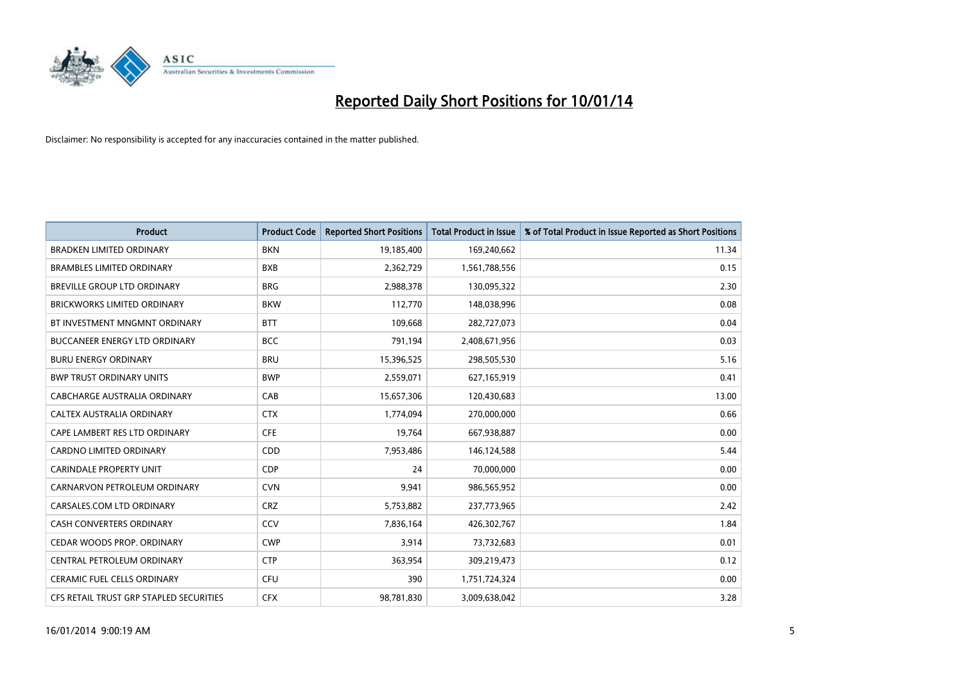

| Product                                 | <b>Product Code</b> | <b>Reported Short Positions</b> | <b>Total Product in Issue</b> | % of Total Product in Issue Reported as Short Positions |
|-----------------------------------------|---------------------|---------------------------------|-------------------------------|---------------------------------------------------------|
| <b>BRADKEN LIMITED ORDINARY</b>         | <b>BKN</b>          | 19,185,400                      | 169,240,662                   | 11.34                                                   |
| <b>BRAMBLES LIMITED ORDINARY</b>        | <b>BXB</b>          | 2,362,729                       | 1,561,788,556                 | 0.15                                                    |
| BREVILLE GROUP LTD ORDINARY             | <b>BRG</b>          | 2,988,378                       | 130,095,322                   | 2.30                                                    |
| <b>BRICKWORKS LIMITED ORDINARY</b>      | <b>BKW</b>          | 112,770                         | 148,038,996                   | 0.08                                                    |
| BT INVESTMENT MNGMNT ORDINARY           | <b>BTT</b>          | 109,668                         | 282,727,073                   | 0.04                                                    |
| <b>BUCCANEER ENERGY LTD ORDINARY</b>    | <b>BCC</b>          | 791,194                         | 2,408,671,956                 | 0.03                                                    |
| <b>BURU ENERGY ORDINARY</b>             | <b>BRU</b>          | 15,396,525                      | 298,505,530                   | 5.16                                                    |
| <b>BWP TRUST ORDINARY UNITS</b>         | <b>BWP</b>          | 2,559,071                       | 627,165,919                   | 0.41                                                    |
| CABCHARGE AUSTRALIA ORDINARY            | CAB                 | 15,657,306                      | 120,430,683                   | 13.00                                                   |
| CALTEX AUSTRALIA ORDINARY               | <b>CTX</b>          | 1,774,094                       | 270,000,000                   | 0.66                                                    |
| CAPE LAMBERT RES LTD ORDINARY           | <b>CFE</b>          | 19,764                          | 667,938,887                   | 0.00                                                    |
| <b>CARDNO LIMITED ORDINARY</b>          | CDD                 | 7,953,486                       | 146,124,588                   | 5.44                                                    |
| <b>CARINDALE PROPERTY UNIT</b>          | <b>CDP</b>          | 24                              | 70,000,000                    | 0.00                                                    |
| CARNARVON PETROLEUM ORDINARY            | <b>CVN</b>          | 9,941                           | 986,565,952                   | 0.00                                                    |
| CARSALES.COM LTD ORDINARY               | <b>CRZ</b>          | 5,753,882                       | 237,773,965                   | 2.42                                                    |
| <b>CASH CONVERTERS ORDINARY</b>         | CCV                 | 7,836,164                       | 426,302,767                   | 1.84                                                    |
| CEDAR WOODS PROP. ORDINARY              | <b>CWP</b>          | 3,914                           | 73,732,683                    | 0.01                                                    |
| CENTRAL PETROLEUM ORDINARY              | <b>CTP</b>          | 363,954                         | 309,219,473                   | 0.12                                                    |
| <b>CERAMIC FUEL CELLS ORDINARY</b>      | <b>CFU</b>          | 390                             | 1,751,724,324                 | 0.00                                                    |
| CFS RETAIL TRUST GRP STAPLED SECURITIES | <b>CFX</b>          | 98,781,830                      | 3,009,638,042                 | 3.28                                                    |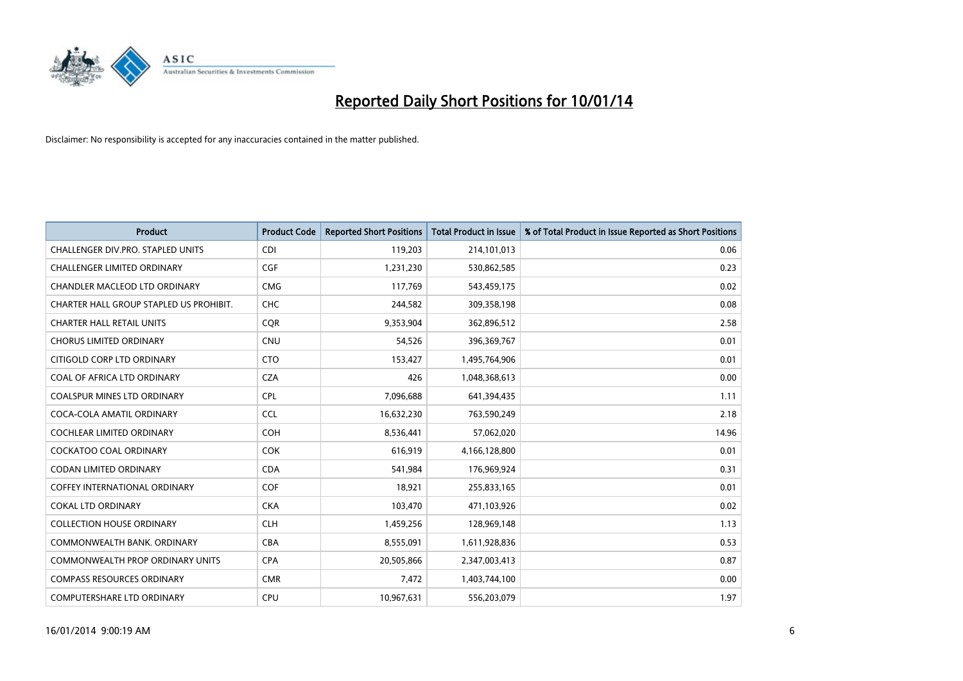

| <b>Product</b>                          | <b>Product Code</b> | <b>Reported Short Positions</b> | <b>Total Product in Issue</b> | % of Total Product in Issue Reported as Short Positions |
|-----------------------------------------|---------------------|---------------------------------|-------------------------------|---------------------------------------------------------|
| CHALLENGER DIV.PRO. STAPLED UNITS       | <b>CDI</b>          | 119,203                         | 214,101,013                   | 0.06                                                    |
| <b>CHALLENGER LIMITED ORDINARY</b>      | <b>CGF</b>          | 1,231,230                       | 530,862,585                   | 0.23                                                    |
| CHANDLER MACLEOD LTD ORDINARY           | <b>CMG</b>          | 117,769                         | 543,459,175                   | 0.02                                                    |
| CHARTER HALL GROUP STAPLED US PROHIBIT. | <b>CHC</b>          | 244,582                         | 309,358,198                   | 0.08                                                    |
| <b>CHARTER HALL RETAIL UNITS</b>        | <b>COR</b>          | 9,353,904                       | 362,896,512                   | 2.58                                                    |
| <b>CHORUS LIMITED ORDINARY</b>          | CNU                 | 54,526                          | 396,369,767                   | 0.01                                                    |
| CITIGOLD CORP LTD ORDINARY              | <b>CTO</b>          | 153,427                         | 1,495,764,906                 | 0.01                                                    |
| COAL OF AFRICA LTD ORDINARY             | <b>CZA</b>          | 426                             | 1,048,368,613                 | 0.00                                                    |
| <b>COALSPUR MINES LTD ORDINARY</b>      | <b>CPL</b>          | 7,096,688                       | 641,394,435                   | 1.11                                                    |
| COCA-COLA AMATIL ORDINARY               | <b>CCL</b>          | 16,632,230                      | 763,590,249                   | 2.18                                                    |
| COCHLEAR LIMITED ORDINARY               | <b>COH</b>          | 8,536,441                       | 57,062,020                    | 14.96                                                   |
| <b>COCKATOO COAL ORDINARY</b>           | <b>COK</b>          | 616,919                         | 4,166,128,800                 | 0.01                                                    |
| <b>CODAN LIMITED ORDINARY</b>           | <b>CDA</b>          | 541,984                         | 176,969,924                   | 0.31                                                    |
| COFFEY INTERNATIONAL ORDINARY           | <b>COF</b>          | 18,921                          | 255,833,165                   | 0.01                                                    |
| <b>COKAL LTD ORDINARY</b>               | <b>CKA</b>          | 103,470                         | 471,103,926                   | 0.02                                                    |
| <b>COLLECTION HOUSE ORDINARY</b>        | <b>CLH</b>          | 1,459,256                       | 128,969,148                   | 1.13                                                    |
| COMMONWEALTH BANK, ORDINARY             | <b>CBA</b>          | 8,555,091                       | 1,611,928,836                 | 0.53                                                    |
| <b>COMMONWEALTH PROP ORDINARY UNITS</b> | <b>CPA</b>          | 20,505,866                      | 2,347,003,413                 | 0.87                                                    |
| <b>COMPASS RESOURCES ORDINARY</b>       | <b>CMR</b>          | 7,472                           | 1,403,744,100                 | 0.00                                                    |
| COMPUTERSHARE LTD ORDINARY              | <b>CPU</b>          | 10,967,631                      | 556,203,079                   | 1.97                                                    |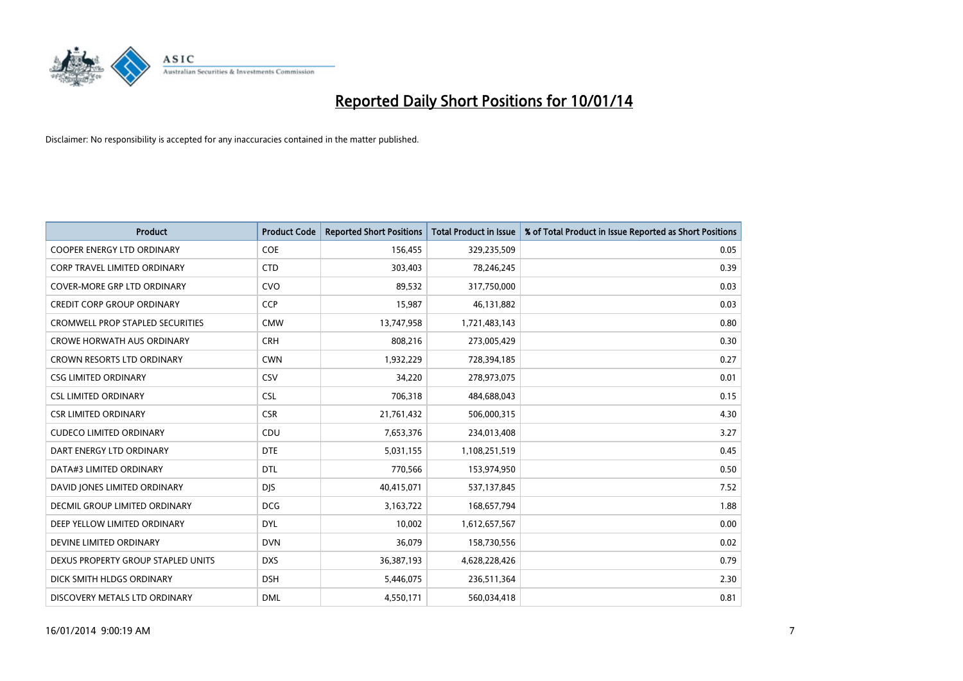

| <b>Product</b>                          | <b>Product Code</b> | <b>Reported Short Positions</b> | <b>Total Product in Issue</b> | % of Total Product in Issue Reported as Short Positions |
|-----------------------------------------|---------------------|---------------------------------|-------------------------------|---------------------------------------------------------|
| <b>COOPER ENERGY LTD ORDINARY</b>       | <b>COE</b>          | 156,455                         | 329,235,509                   | 0.05                                                    |
| CORP TRAVEL LIMITED ORDINARY            | <b>CTD</b>          | 303,403                         | 78,246,245                    | 0.39                                                    |
| <b>COVER-MORE GRP LTD ORDINARY</b>      | <b>CVO</b>          | 89,532                          | 317,750,000                   | 0.03                                                    |
| CREDIT CORP GROUP ORDINARY              | <b>CCP</b>          | 15,987                          | 46,131,882                    | 0.03                                                    |
| <b>CROMWELL PROP STAPLED SECURITIES</b> | <b>CMW</b>          | 13,747,958                      | 1,721,483,143                 | 0.80                                                    |
| <b>CROWE HORWATH AUS ORDINARY</b>       | <b>CRH</b>          | 808,216                         | 273,005,429                   | 0.30                                                    |
| <b>CROWN RESORTS LTD ORDINARY</b>       | <b>CWN</b>          | 1,932,229                       | 728,394,185                   | 0.27                                                    |
| <b>CSG LIMITED ORDINARY</b>             | CSV                 | 34,220                          | 278,973,075                   | 0.01                                                    |
| <b>CSL LIMITED ORDINARY</b>             | <b>CSL</b>          | 706,318                         | 484,688,043                   | 0.15                                                    |
| <b>CSR LIMITED ORDINARY</b>             | <b>CSR</b>          | 21,761,432                      | 506,000,315                   | 4.30                                                    |
| <b>CUDECO LIMITED ORDINARY</b>          | CDU                 | 7,653,376                       | 234,013,408                   | 3.27                                                    |
| DART ENERGY LTD ORDINARY                | <b>DTE</b>          | 5,031,155                       | 1,108,251,519                 | 0.45                                                    |
| DATA#3 LIMITED ORDINARY                 | <b>DTL</b>          | 770,566                         | 153,974,950                   | 0.50                                                    |
| DAVID JONES LIMITED ORDINARY            | <b>DJS</b>          | 40,415,071                      | 537,137,845                   | 7.52                                                    |
| DECMIL GROUP LIMITED ORDINARY           | <b>DCG</b>          | 3,163,722                       | 168,657,794                   | 1.88                                                    |
| DEEP YELLOW LIMITED ORDINARY            | <b>DYL</b>          | 10,002                          | 1,612,657,567                 | 0.00                                                    |
| DEVINE LIMITED ORDINARY                 | <b>DVN</b>          | 36,079                          | 158,730,556                   | 0.02                                                    |
| DEXUS PROPERTY GROUP STAPLED UNITS      | <b>DXS</b>          | 36,387,193                      | 4,628,228,426                 | 0.79                                                    |
| DICK SMITH HLDGS ORDINARY               | <b>DSH</b>          | 5,446,075                       | 236,511,364                   | 2.30                                                    |
| DISCOVERY METALS LTD ORDINARY           | <b>DML</b>          | 4,550,171                       | 560,034,418                   | 0.81                                                    |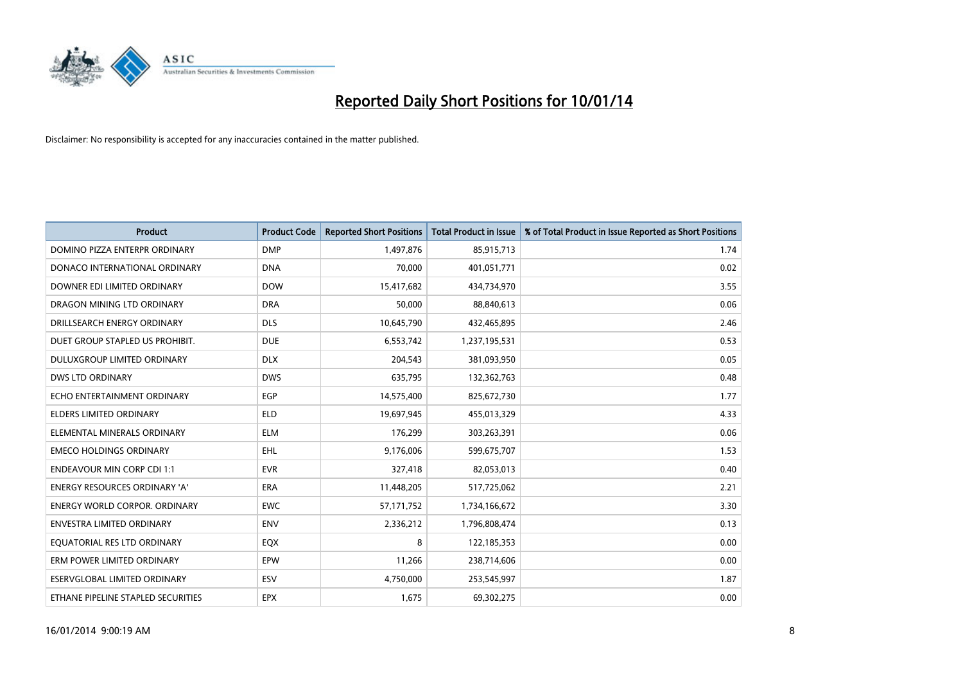

| <b>Product</b>                       | <b>Product Code</b> | <b>Reported Short Positions</b> | <b>Total Product in Issue</b> | % of Total Product in Issue Reported as Short Positions |
|--------------------------------------|---------------------|---------------------------------|-------------------------------|---------------------------------------------------------|
| DOMINO PIZZA ENTERPR ORDINARY        | <b>DMP</b>          | 1,497,876                       | 85,915,713                    | 1.74                                                    |
| DONACO INTERNATIONAL ORDINARY        | <b>DNA</b>          | 70,000                          | 401,051,771                   | 0.02                                                    |
| DOWNER EDI LIMITED ORDINARY          | <b>DOW</b>          | 15,417,682                      | 434,734,970                   | 3.55                                                    |
| DRAGON MINING LTD ORDINARY           | <b>DRA</b>          | 50,000                          | 88,840,613                    | 0.06                                                    |
| DRILLSEARCH ENERGY ORDINARY          | <b>DLS</b>          | 10,645,790                      | 432,465,895                   | 2.46                                                    |
| DUET GROUP STAPLED US PROHIBIT.      | <b>DUE</b>          | 6,553,742                       | 1,237,195,531                 | 0.53                                                    |
| <b>DULUXGROUP LIMITED ORDINARY</b>   | <b>DLX</b>          | 204,543                         | 381,093,950                   | 0.05                                                    |
| <b>DWS LTD ORDINARY</b>              | <b>DWS</b>          | 635,795                         | 132,362,763                   | 0.48                                                    |
| ECHO ENTERTAINMENT ORDINARY          | <b>EGP</b>          | 14,575,400                      | 825,672,730                   | 1.77                                                    |
| <b>ELDERS LIMITED ORDINARY</b>       | <b>ELD</b>          | 19,697,945                      | 455,013,329                   | 4.33                                                    |
| ELEMENTAL MINERALS ORDINARY          | <b>ELM</b>          | 176,299                         | 303,263,391                   | 0.06                                                    |
| <b>EMECO HOLDINGS ORDINARY</b>       | EHL                 | 9,176,006                       | 599,675,707                   | 1.53                                                    |
| <b>ENDEAVOUR MIN CORP CDI 1:1</b>    | <b>EVR</b>          | 327,418                         | 82,053,013                    | 0.40                                                    |
| ENERGY RESOURCES ORDINARY 'A'        | ERA                 | 11,448,205                      | 517,725,062                   | 2.21                                                    |
| <b>ENERGY WORLD CORPOR, ORDINARY</b> | <b>EWC</b>          | 57, 171, 752                    | 1,734,166,672                 | 3.30                                                    |
| ENVESTRA LIMITED ORDINARY            | <b>ENV</b>          | 2,336,212                       | 1,796,808,474                 | 0.13                                                    |
| EQUATORIAL RES LTD ORDINARY          | EQX                 | 8                               | 122,185,353                   | 0.00                                                    |
| ERM POWER LIMITED ORDINARY           | <b>EPW</b>          | 11,266                          | 238,714,606                   | 0.00                                                    |
| ESERVGLOBAL LIMITED ORDINARY         | ESV                 | 4,750,000                       | 253,545,997                   | 1.87                                                    |
| ETHANE PIPELINE STAPLED SECURITIES   | <b>EPX</b>          | 1,675                           | 69,302,275                    | 0.00                                                    |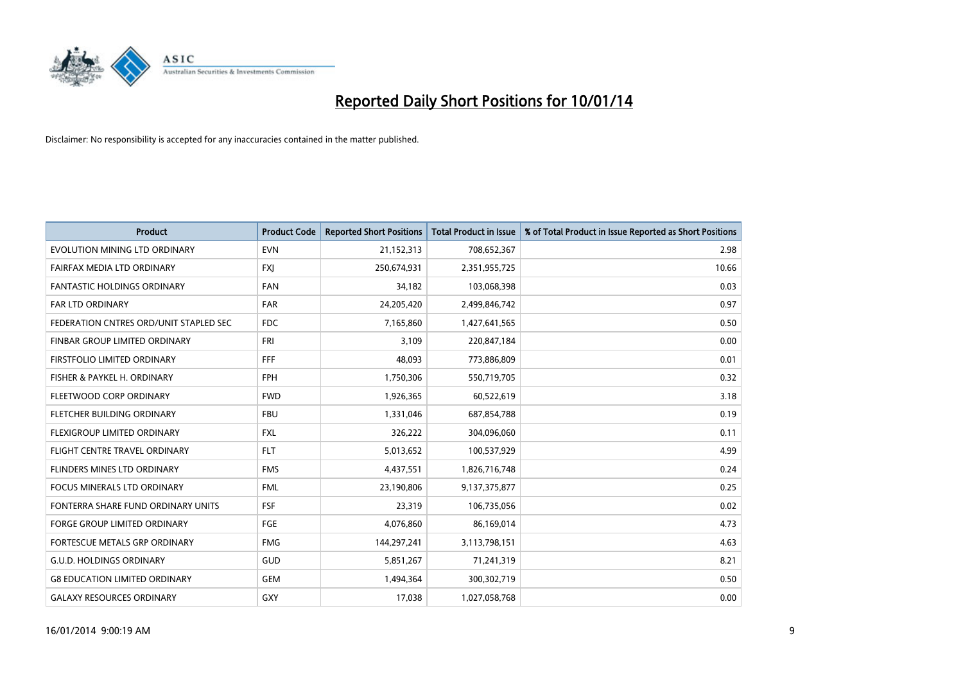

| <b>Product</b>                         | <b>Product Code</b> | <b>Reported Short Positions</b> | <b>Total Product in Issue</b> | % of Total Product in Issue Reported as Short Positions |
|----------------------------------------|---------------------|---------------------------------|-------------------------------|---------------------------------------------------------|
| EVOLUTION MINING LTD ORDINARY          | <b>EVN</b>          | 21,152,313                      | 708,652,367                   | 2.98                                                    |
| FAIRFAX MEDIA LTD ORDINARY             | <b>FXJ</b>          | 250,674,931                     | 2,351,955,725                 | 10.66                                                   |
| <b>FANTASTIC HOLDINGS ORDINARY</b>     | <b>FAN</b>          | 34,182                          | 103,068,398                   | 0.03                                                    |
| FAR LTD ORDINARY                       | <b>FAR</b>          | 24,205,420                      | 2,499,846,742                 | 0.97                                                    |
| FEDERATION CNTRES ORD/UNIT STAPLED SEC | <b>FDC</b>          | 7,165,860                       | 1,427,641,565                 | 0.50                                                    |
| FINBAR GROUP LIMITED ORDINARY          | <b>FRI</b>          | 3,109                           | 220,847,184                   | 0.00                                                    |
| FIRSTFOLIO LIMITED ORDINARY            | <b>FFF</b>          | 48,093                          | 773,886,809                   | 0.01                                                    |
| FISHER & PAYKEL H. ORDINARY            | <b>FPH</b>          | 1,750,306                       | 550,719,705                   | 0.32                                                    |
| FLEETWOOD CORP ORDINARY                | <b>FWD</b>          | 1,926,365                       | 60,522,619                    | 3.18                                                    |
| FLETCHER BUILDING ORDINARY             | <b>FBU</b>          | 1,331,046                       | 687,854,788                   | 0.19                                                    |
| FLEXIGROUP LIMITED ORDINARY            | <b>FXL</b>          | 326,222                         | 304,096,060                   | 0.11                                                    |
| FLIGHT CENTRE TRAVEL ORDINARY          | <b>FLT</b>          | 5,013,652                       | 100,537,929                   | 4.99                                                    |
| FLINDERS MINES LTD ORDINARY            | <b>FMS</b>          | 4,437,551                       | 1,826,716,748                 | 0.24                                                    |
| <b>FOCUS MINERALS LTD ORDINARY</b>     | <b>FML</b>          | 23,190,806                      | 9,137,375,877                 | 0.25                                                    |
| FONTERRA SHARE FUND ORDINARY UNITS     | <b>FSF</b>          | 23,319                          | 106,735,056                   | 0.02                                                    |
| <b>FORGE GROUP LIMITED ORDINARY</b>    | FGE                 | 4,076,860                       | 86,169,014                    | 4.73                                                    |
| FORTESCUE METALS GRP ORDINARY          | <b>FMG</b>          | 144,297,241                     | 3,113,798,151                 | 4.63                                                    |
| <b>G.U.D. HOLDINGS ORDINARY</b>        | GUD                 | 5,851,267                       | 71,241,319                    | 8.21                                                    |
| <b>G8 EDUCATION LIMITED ORDINARY</b>   | GEM                 | 1,494,364                       | 300,302,719                   | 0.50                                                    |
| <b>GALAXY RESOURCES ORDINARY</b>       | GXY                 | 17,038                          | 1,027,058,768                 | 0.00                                                    |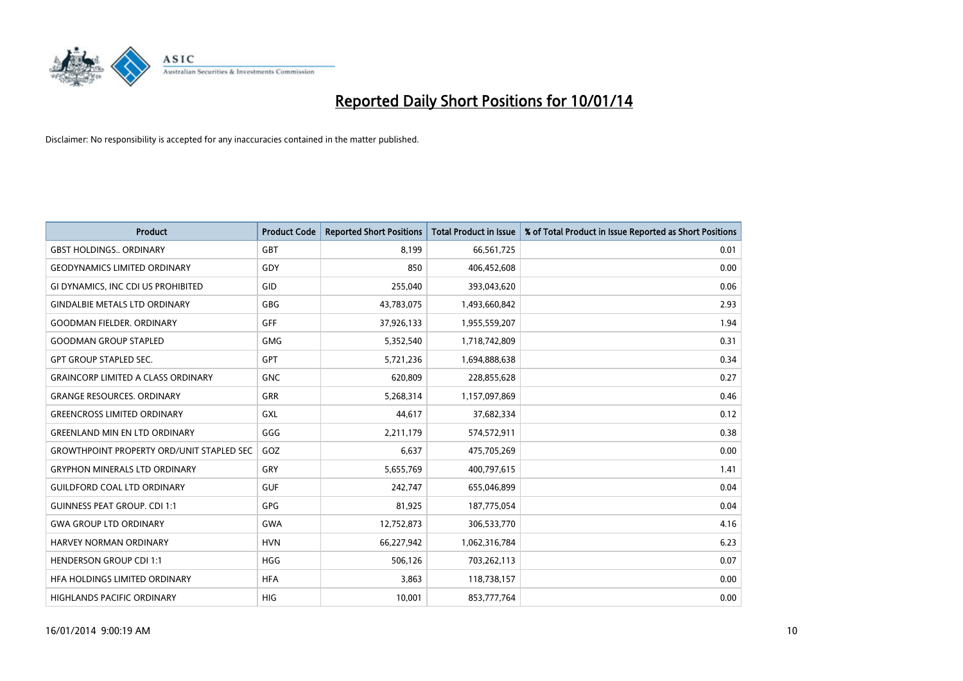

| <b>Product</b>                                   | <b>Product Code</b> | <b>Reported Short Positions</b> | <b>Total Product in Issue</b> | % of Total Product in Issue Reported as Short Positions |
|--------------------------------------------------|---------------------|---------------------------------|-------------------------------|---------------------------------------------------------|
| <b>GBST HOLDINGS., ORDINARY</b>                  | GBT                 | 8,199                           | 66,561,725                    | 0.01                                                    |
| <b>GEODYNAMICS LIMITED ORDINARY</b>              | GDY                 | 850                             | 406,452,608                   | 0.00                                                    |
| GI DYNAMICS, INC CDI US PROHIBITED               | GID                 | 255,040                         | 393,043,620                   | 0.06                                                    |
| <b>GINDALBIE METALS LTD ORDINARY</b>             | <b>GBG</b>          | 43,783,075                      | 1,493,660,842                 | 2.93                                                    |
| <b>GOODMAN FIELDER, ORDINARY</b>                 | <b>GFF</b>          | 37,926,133                      | 1,955,559,207                 | 1.94                                                    |
| <b>GOODMAN GROUP STAPLED</b>                     | <b>GMG</b>          | 5,352,540                       | 1,718,742,809                 | 0.31                                                    |
| <b>GPT GROUP STAPLED SEC.</b>                    | <b>GPT</b>          | 5,721,236                       | 1,694,888,638                 | 0.34                                                    |
| <b>GRAINCORP LIMITED A CLASS ORDINARY</b>        | <b>GNC</b>          | 620,809                         | 228,855,628                   | 0.27                                                    |
| <b>GRANGE RESOURCES. ORDINARY</b>                | GRR                 | 5,268,314                       | 1,157,097,869                 | 0.46                                                    |
| <b>GREENCROSS LIMITED ORDINARY</b>               | <b>GXL</b>          | 44,617                          | 37,682,334                    | 0.12                                                    |
| <b>GREENLAND MIN EN LTD ORDINARY</b>             | GGG                 | 2,211,179                       | 574,572,911                   | 0.38                                                    |
| <b>GROWTHPOINT PROPERTY ORD/UNIT STAPLED SEC</b> | GOZ                 | 6,637                           | 475,705,269                   | 0.00                                                    |
| <b>GRYPHON MINERALS LTD ORDINARY</b>             | GRY                 | 5,655,769                       | 400,797,615                   | 1.41                                                    |
| <b>GUILDFORD COAL LTD ORDINARY</b>               | <b>GUF</b>          | 242,747                         | 655,046,899                   | 0.04                                                    |
| <b>GUINNESS PEAT GROUP. CDI 1:1</b>              | <b>GPG</b>          | 81,925                          | 187,775,054                   | 0.04                                                    |
| <b>GWA GROUP LTD ORDINARY</b>                    | <b>GWA</b>          | 12,752,873                      | 306,533,770                   | 4.16                                                    |
| <b>HARVEY NORMAN ORDINARY</b>                    | <b>HVN</b>          | 66,227,942                      | 1,062,316,784                 | 6.23                                                    |
| <b>HENDERSON GROUP CDI 1:1</b>                   | <b>HGG</b>          | 506,126                         | 703,262,113                   | 0.07                                                    |
| HFA HOLDINGS LIMITED ORDINARY                    | <b>HFA</b>          | 3,863                           | 118,738,157                   | 0.00                                                    |
| <b>HIGHLANDS PACIFIC ORDINARY</b>                | <b>HIG</b>          | 10,001                          | 853,777,764                   | 0.00                                                    |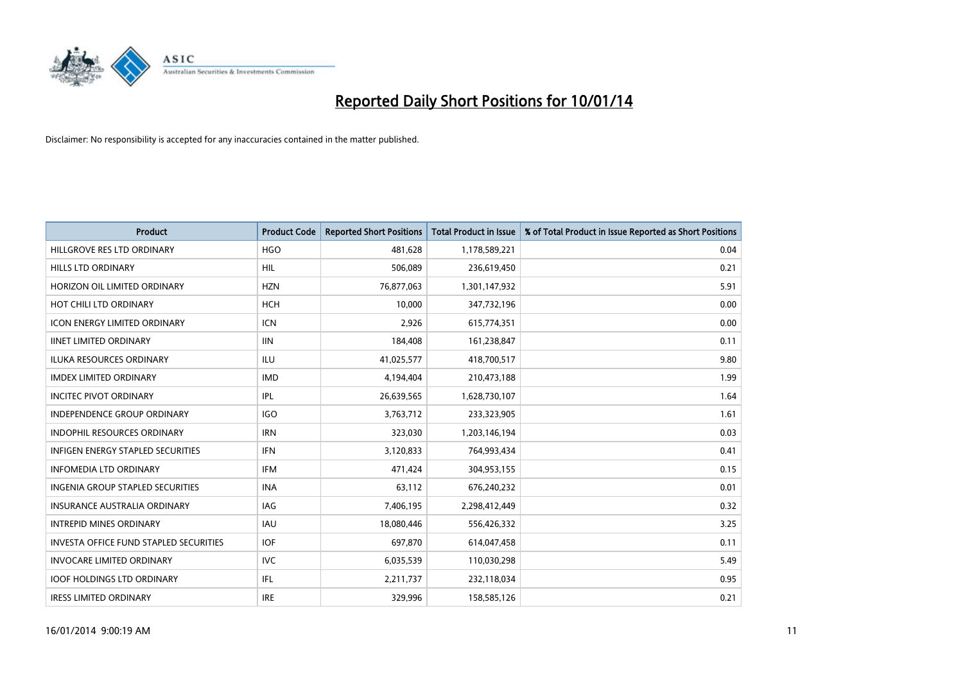

| <b>Product</b>                           | <b>Product Code</b> | <b>Reported Short Positions</b> | <b>Total Product in Issue</b> | % of Total Product in Issue Reported as Short Positions |
|------------------------------------------|---------------------|---------------------------------|-------------------------------|---------------------------------------------------------|
| HILLGROVE RES LTD ORDINARY               | <b>HGO</b>          | 481,628                         | 1,178,589,221                 | 0.04                                                    |
| <b>HILLS LTD ORDINARY</b>                | HIL                 | 506,089                         | 236,619,450                   | 0.21                                                    |
| HORIZON OIL LIMITED ORDINARY             | <b>HZN</b>          | 76,877,063                      | 1,301,147,932                 | 5.91                                                    |
| HOT CHILI LTD ORDINARY                   | <b>HCH</b>          | 10,000                          | 347,732,196                   | 0.00                                                    |
| <b>ICON ENERGY LIMITED ORDINARY</b>      | <b>ICN</b>          | 2,926                           | 615,774,351                   | 0.00                                                    |
| <b>IINET LIMITED ORDINARY</b>            | <b>IIN</b>          | 184,408                         | 161,238,847                   | 0.11                                                    |
| <b>ILUKA RESOURCES ORDINARY</b>          | ILU                 | 41,025,577                      | 418,700,517                   | 9.80                                                    |
| <b>IMDEX LIMITED ORDINARY</b>            | <b>IMD</b>          | 4,194,404                       | 210,473,188                   | 1.99                                                    |
| <b>INCITEC PIVOT ORDINARY</b>            | IPL                 | 26,639,565                      | 1,628,730,107                 | 1.64                                                    |
| <b>INDEPENDENCE GROUP ORDINARY</b>       | <b>IGO</b>          | 3,763,712                       | 233,323,905                   | 1.61                                                    |
| INDOPHIL RESOURCES ORDINARY              | <b>IRN</b>          | 323,030                         | 1,203,146,194                 | 0.03                                                    |
| <b>INFIGEN ENERGY STAPLED SECURITIES</b> | <b>IFN</b>          | 3,120,833                       | 764,993,434                   | 0.41                                                    |
| <b>INFOMEDIA LTD ORDINARY</b>            | <b>IFM</b>          | 471,424                         | 304,953,155                   | 0.15                                                    |
| <b>INGENIA GROUP STAPLED SECURITIES</b>  | <b>INA</b>          | 63,112                          | 676,240,232                   | 0.01                                                    |
| <b>INSURANCE AUSTRALIA ORDINARY</b>      | IAG                 | 7,406,195                       | 2,298,412,449                 | 0.32                                                    |
| <b>INTREPID MINES ORDINARY</b>           | <b>IAU</b>          | 18,080,446                      | 556,426,332                   | 3.25                                                    |
| INVESTA OFFICE FUND STAPLED SECURITIES   | <b>IOF</b>          | 697,870                         | 614,047,458                   | 0.11                                                    |
| INVOCARE LIMITED ORDINARY                | IVC                 | 6,035,539                       | 110,030,298                   | 5.49                                                    |
| <b>IOOF HOLDINGS LTD ORDINARY</b>        | IFL                 | 2,211,737                       | 232,118,034                   | 0.95                                                    |
| <b>IRESS LIMITED ORDINARY</b>            | <b>IRE</b>          | 329,996                         | 158,585,126                   | 0.21                                                    |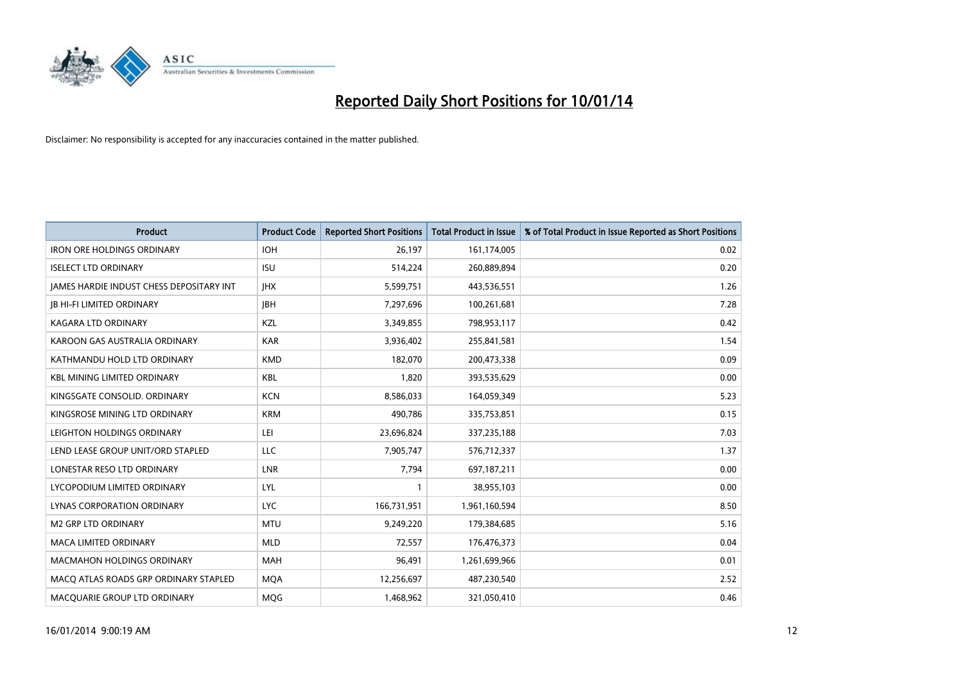

| <b>Product</b>                                  | <b>Product Code</b> | <b>Reported Short Positions</b> | <b>Total Product in Issue</b> | % of Total Product in Issue Reported as Short Positions |
|-------------------------------------------------|---------------------|---------------------------------|-------------------------------|---------------------------------------------------------|
| <b>IRON ORE HOLDINGS ORDINARY</b>               | <b>IOH</b>          | 26,197                          | 161,174,005                   | 0.02                                                    |
| <b>ISELECT LTD ORDINARY</b>                     | <b>ISU</b>          | 514,224                         | 260,889,894                   | 0.20                                                    |
| <b>JAMES HARDIE INDUST CHESS DEPOSITARY INT</b> | <b>IHX</b>          | 5,599,751                       | 443,536,551                   | 1.26                                                    |
| <b>JB HI-FI LIMITED ORDINARY</b>                | <b>IBH</b>          | 7,297,696                       | 100,261,681                   | 7.28                                                    |
| <b>KAGARA LTD ORDINARY</b>                      | <b>KZL</b>          | 3,349,855                       | 798,953,117                   | 0.42                                                    |
| KAROON GAS AUSTRALIA ORDINARY                   | <b>KAR</b>          | 3,936,402                       | 255,841,581                   | 1.54                                                    |
| KATHMANDU HOLD LTD ORDINARY                     | <b>KMD</b>          | 182,070                         | 200,473,338                   | 0.09                                                    |
| <b>KBL MINING LIMITED ORDINARY</b>              | <b>KBL</b>          | 1,820                           | 393,535,629                   | 0.00                                                    |
| KINGSGATE CONSOLID, ORDINARY                    | <b>KCN</b>          | 8,586,033                       | 164,059,349                   | 5.23                                                    |
| KINGSROSE MINING LTD ORDINARY                   | <b>KRM</b>          | 490,786                         | 335,753,851                   | 0.15                                                    |
| LEIGHTON HOLDINGS ORDINARY                      | LEI                 | 23,696,824                      | 337,235,188                   | 7.03                                                    |
| LEND LEASE GROUP UNIT/ORD STAPLED               | LLC                 | 7,905,747                       | 576,712,337                   | 1.37                                                    |
| LONESTAR RESO LTD ORDINARY                      | <b>LNR</b>          | 7,794                           | 697,187,211                   | 0.00                                                    |
| LYCOPODIUM LIMITED ORDINARY                     | LYL                 | 1                               | 38,955,103                    | 0.00                                                    |
| <b>LYNAS CORPORATION ORDINARY</b>               | <b>LYC</b>          | 166,731,951                     | 1,961,160,594                 | 8.50                                                    |
| <b>M2 GRP LTD ORDINARY</b>                      | <b>MTU</b>          | 9,249,220                       | 179,384,685                   | 5.16                                                    |
| MACA LIMITED ORDINARY                           | <b>MLD</b>          | 72,557                          | 176,476,373                   | 0.04                                                    |
| <b>MACMAHON HOLDINGS ORDINARY</b>               | MAH                 | 96,491                          | 1,261,699,966                 | 0.01                                                    |
| MACO ATLAS ROADS GRP ORDINARY STAPLED           | <b>MQA</b>          | 12,256,697                      | 487,230,540                   | 2.52                                                    |
| MACQUARIE GROUP LTD ORDINARY                    | <b>MQG</b>          | 1,468,962                       | 321,050,410                   | 0.46                                                    |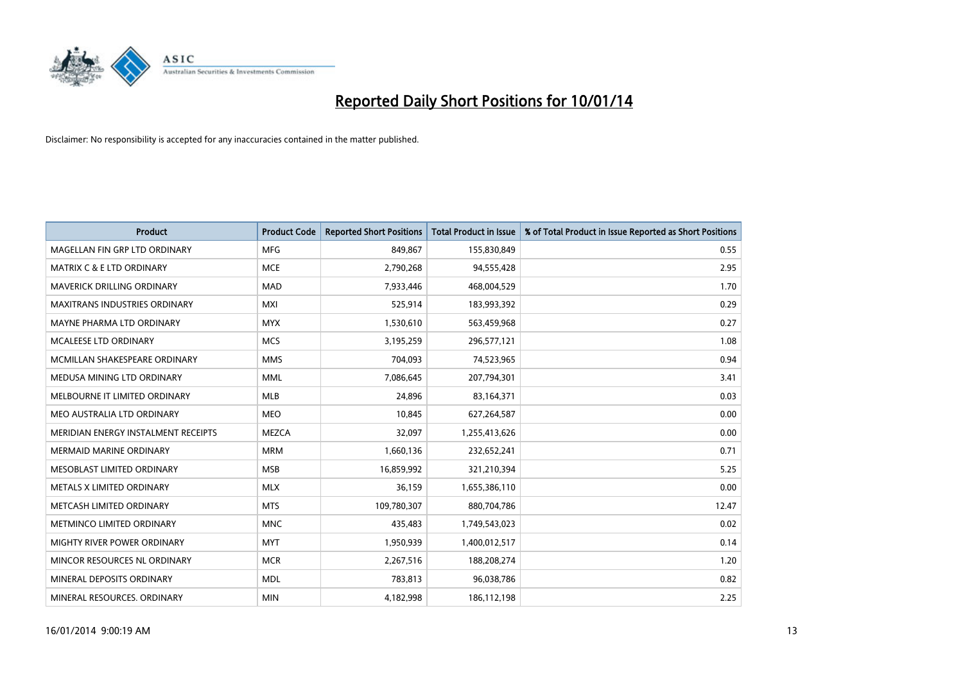

| <b>Product</b>                       | <b>Product Code</b> | <b>Reported Short Positions</b> | <b>Total Product in Issue</b> | % of Total Product in Issue Reported as Short Positions |
|--------------------------------------|---------------------|---------------------------------|-------------------------------|---------------------------------------------------------|
| MAGELLAN FIN GRP LTD ORDINARY        | <b>MFG</b>          | 849,867                         | 155,830,849                   | 0.55                                                    |
| <b>MATRIX C &amp; E LTD ORDINARY</b> | <b>MCE</b>          | 2,790,268                       | 94,555,428                    | 2.95                                                    |
| MAVERICK DRILLING ORDINARY           | <b>MAD</b>          | 7,933,446                       | 468,004,529                   | 1.70                                                    |
| MAXITRANS INDUSTRIES ORDINARY        | <b>MXI</b>          | 525,914                         | 183,993,392                   | 0.29                                                    |
| MAYNE PHARMA LTD ORDINARY            | <b>MYX</b>          | 1,530,610                       | 563,459,968                   | 0.27                                                    |
| <b>MCALEESE LTD ORDINARY</b>         | <b>MCS</b>          | 3,195,259                       | 296,577,121                   | 1.08                                                    |
| MCMILLAN SHAKESPEARE ORDINARY        | <b>MMS</b>          | 704,093                         | 74,523,965                    | 0.94                                                    |
| MEDUSA MINING LTD ORDINARY           | <b>MML</b>          | 7,086,645                       | 207,794,301                   | 3.41                                                    |
| MELBOURNE IT LIMITED ORDINARY        | <b>MLB</b>          | 24,896                          | 83,164,371                    | 0.03                                                    |
| MEO AUSTRALIA LTD ORDINARY           | <b>MEO</b>          | 10,845                          | 627,264,587                   | 0.00                                                    |
| MERIDIAN ENERGY INSTALMENT RECEIPTS  | <b>MEZCA</b>        | 32,097                          | 1,255,413,626                 | 0.00                                                    |
| <b>MERMAID MARINE ORDINARY</b>       | <b>MRM</b>          | 1,660,136                       | 232,652,241                   | 0.71                                                    |
| MESOBLAST LIMITED ORDINARY           | <b>MSB</b>          | 16,859,992                      | 321,210,394                   | 5.25                                                    |
| METALS X LIMITED ORDINARY            | <b>MLX</b>          | 36,159                          | 1,655,386,110                 | 0.00                                                    |
| METCASH LIMITED ORDINARY             | <b>MTS</b>          | 109,780,307                     | 880,704,786                   | 12.47                                                   |
| METMINCO LIMITED ORDINARY            | <b>MNC</b>          | 435,483                         | 1,749,543,023                 | 0.02                                                    |
| MIGHTY RIVER POWER ORDINARY          | <b>MYT</b>          | 1,950,939                       | 1,400,012,517                 | 0.14                                                    |
| MINCOR RESOURCES NL ORDINARY         | <b>MCR</b>          | 2,267,516                       | 188,208,274                   | 1.20                                                    |
| MINERAL DEPOSITS ORDINARY            | <b>MDL</b>          | 783,813                         | 96,038,786                    | 0.82                                                    |
| MINERAL RESOURCES. ORDINARY          | <b>MIN</b>          | 4,182,998                       | 186,112,198                   | 2.25                                                    |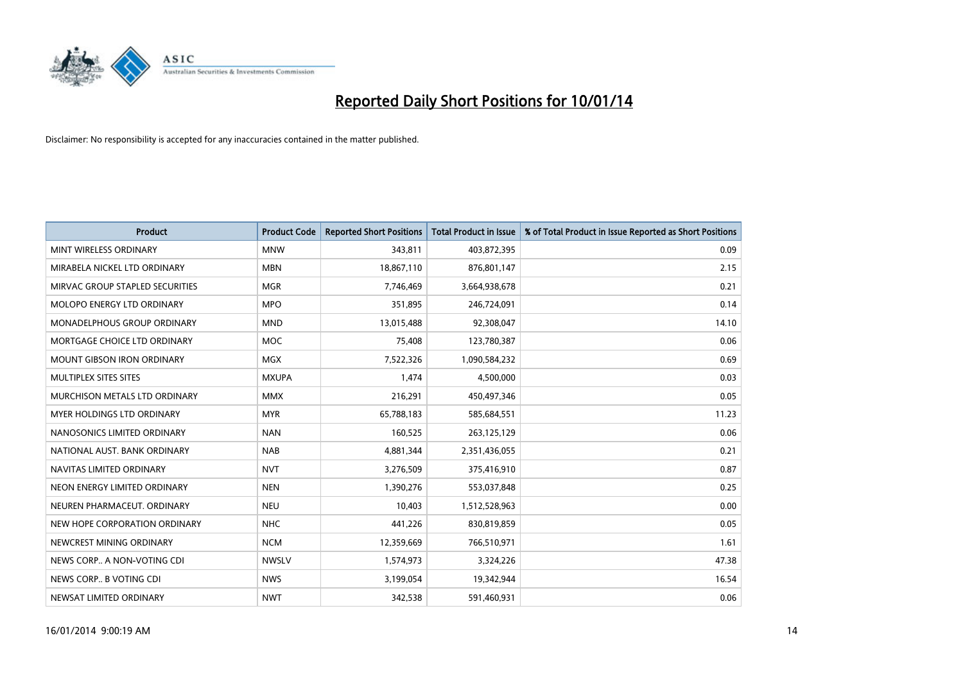

| <b>Product</b>                    | <b>Product Code</b> | <b>Reported Short Positions</b> | <b>Total Product in Issue</b> | % of Total Product in Issue Reported as Short Positions |
|-----------------------------------|---------------------|---------------------------------|-------------------------------|---------------------------------------------------------|
| MINT WIRELESS ORDINARY            | <b>MNW</b>          | 343,811                         | 403,872,395                   | 0.09                                                    |
| MIRABELA NICKEL LTD ORDINARY      | <b>MBN</b>          | 18,867,110                      | 876,801,147                   | 2.15                                                    |
| MIRVAC GROUP STAPLED SECURITIES   | <b>MGR</b>          | 7,746,469                       | 3,664,938,678                 | 0.21                                                    |
| MOLOPO ENERGY LTD ORDINARY        | <b>MPO</b>          | 351,895                         | 246,724,091                   | 0.14                                                    |
| MONADELPHOUS GROUP ORDINARY       | <b>MND</b>          | 13,015,488                      | 92,308,047                    | 14.10                                                   |
| MORTGAGE CHOICE LTD ORDINARY      | <b>MOC</b>          | 75,408                          | 123,780,387                   | 0.06                                                    |
| <b>MOUNT GIBSON IRON ORDINARY</b> | <b>MGX</b>          | 7,522,326                       | 1,090,584,232                 | 0.69                                                    |
| MULTIPLEX SITES SITES             | <b>MXUPA</b>        | 1,474                           | 4,500,000                     | 0.03                                                    |
| MURCHISON METALS LTD ORDINARY     | <b>MMX</b>          | 216,291                         | 450,497,346                   | 0.05                                                    |
| MYER HOLDINGS LTD ORDINARY        | <b>MYR</b>          | 65,788,183                      | 585,684,551                   | 11.23                                                   |
| NANOSONICS LIMITED ORDINARY       | <b>NAN</b>          | 160,525                         | 263,125,129                   | 0.06                                                    |
| NATIONAL AUST, BANK ORDINARY      | <b>NAB</b>          | 4,881,344                       | 2,351,436,055                 | 0.21                                                    |
| NAVITAS LIMITED ORDINARY          | <b>NVT</b>          | 3,276,509                       | 375,416,910                   | 0.87                                                    |
| NEON ENERGY LIMITED ORDINARY      | <b>NEN</b>          | 1,390,276                       | 553,037,848                   | 0.25                                                    |
| NEUREN PHARMACEUT, ORDINARY       | <b>NEU</b>          | 10,403                          | 1,512,528,963                 | 0.00                                                    |
| NEW HOPE CORPORATION ORDINARY     | <b>NHC</b>          | 441,226                         | 830,819,859                   | 0.05                                                    |
| NEWCREST MINING ORDINARY          | <b>NCM</b>          | 12,359,669                      | 766,510,971                   | 1.61                                                    |
| NEWS CORP A NON-VOTING CDI        | <b>NWSLV</b>        | 1,574,973                       | 3,324,226                     | 47.38                                                   |
| NEWS CORP B VOTING CDI            | <b>NWS</b>          | 3,199,054                       | 19,342,944                    | 16.54                                                   |
| NEWSAT LIMITED ORDINARY           | <b>NWT</b>          | 342,538                         | 591,460,931                   | 0.06                                                    |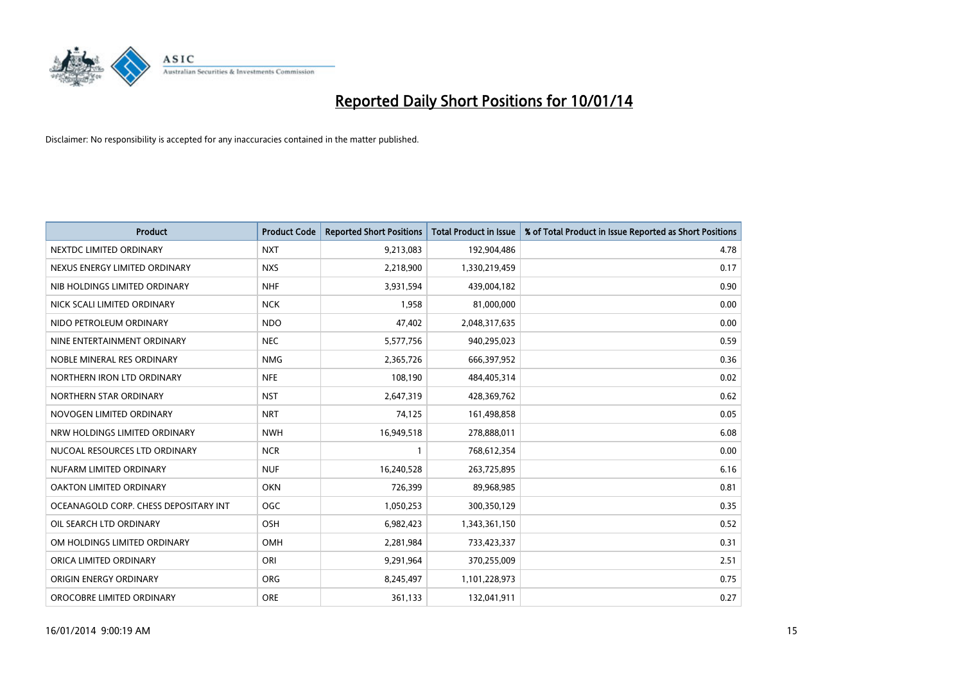

| <b>Product</b>                        | <b>Product Code</b> | <b>Reported Short Positions</b> | <b>Total Product in Issue</b> | % of Total Product in Issue Reported as Short Positions |
|---------------------------------------|---------------------|---------------------------------|-------------------------------|---------------------------------------------------------|
| NEXTDC LIMITED ORDINARY               | <b>NXT</b>          | 9,213,083                       | 192,904,486                   | 4.78                                                    |
| NEXUS ENERGY LIMITED ORDINARY         | <b>NXS</b>          | 2,218,900                       | 1,330,219,459                 | 0.17                                                    |
| NIB HOLDINGS LIMITED ORDINARY         | <b>NHF</b>          | 3,931,594                       | 439,004,182                   | 0.90                                                    |
| NICK SCALI LIMITED ORDINARY           | <b>NCK</b>          | 1,958                           | 81,000,000                    | 0.00                                                    |
| NIDO PETROLEUM ORDINARY               | <b>NDO</b>          | 47,402                          | 2,048,317,635                 | 0.00                                                    |
| NINE ENTERTAINMENT ORDINARY           | <b>NEC</b>          | 5,577,756                       | 940,295,023                   | 0.59                                                    |
| NOBLE MINERAL RES ORDINARY            | <b>NMG</b>          | 2,365,726                       | 666,397,952                   | 0.36                                                    |
| NORTHERN IRON LTD ORDINARY            | <b>NFE</b>          | 108,190                         | 484,405,314                   | 0.02                                                    |
| NORTHERN STAR ORDINARY                | <b>NST</b>          | 2,647,319                       | 428,369,762                   | 0.62                                                    |
| NOVOGEN LIMITED ORDINARY              | <b>NRT</b>          | 74,125                          | 161,498,858                   | 0.05                                                    |
| NRW HOLDINGS LIMITED ORDINARY         | <b>NWH</b>          | 16,949,518                      | 278,888,011                   | 6.08                                                    |
| NUCOAL RESOURCES LTD ORDINARY         | <b>NCR</b>          | 1                               | 768,612,354                   | 0.00                                                    |
| NUFARM LIMITED ORDINARY               | <b>NUF</b>          | 16,240,528                      | 263,725,895                   | 6.16                                                    |
| OAKTON LIMITED ORDINARY               | <b>OKN</b>          | 726,399                         | 89,968,985                    | 0.81                                                    |
| OCEANAGOLD CORP. CHESS DEPOSITARY INT | OGC                 | 1,050,253                       | 300,350,129                   | 0.35                                                    |
| OIL SEARCH LTD ORDINARY               | OSH                 | 6,982,423                       | 1,343,361,150                 | 0.52                                                    |
| OM HOLDINGS LIMITED ORDINARY          | OMH                 | 2,281,984                       | 733,423,337                   | 0.31                                                    |
| ORICA LIMITED ORDINARY                | ORI                 | 9,291,964                       | 370,255,009                   | 2.51                                                    |
| ORIGIN ENERGY ORDINARY                | <b>ORG</b>          | 8,245,497                       | 1,101,228,973                 | 0.75                                                    |
| OROCOBRE LIMITED ORDINARY             | <b>ORE</b>          | 361,133                         | 132,041,911                   | 0.27                                                    |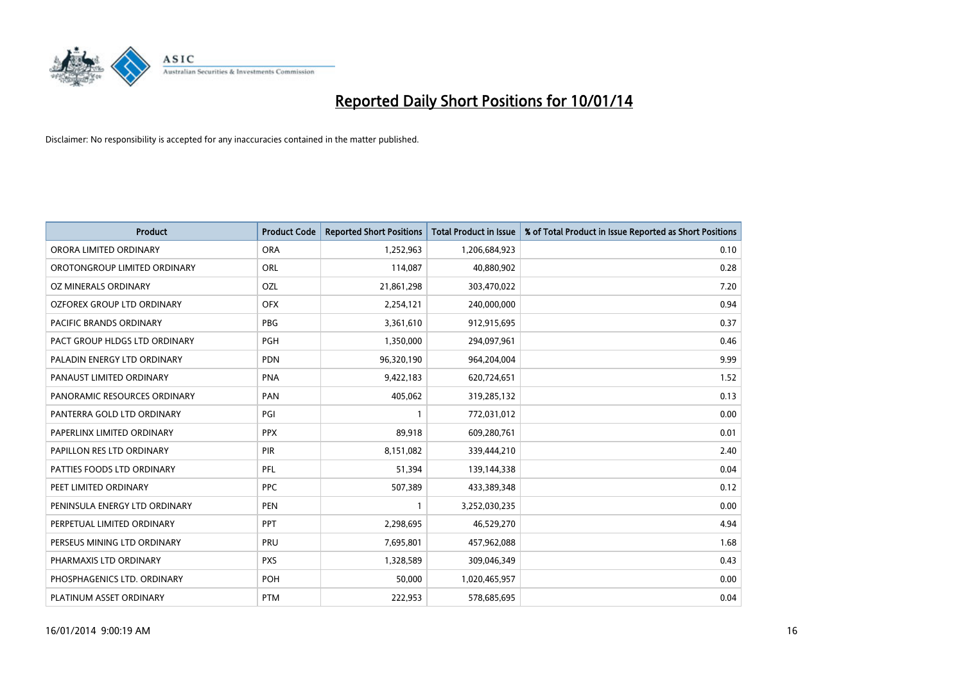

| <b>Product</b>                 | <b>Product Code</b> | <b>Reported Short Positions</b> | <b>Total Product in Issue</b> | % of Total Product in Issue Reported as Short Positions |
|--------------------------------|---------------------|---------------------------------|-------------------------------|---------------------------------------------------------|
| ORORA LIMITED ORDINARY         | <b>ORA</b>          | 1,252,963                       | 1,206,684,923                 | 0.10                                                    |
| OROTONGROUP LIMITED ORDINARY   | ORL                 | 114,087                         | 40,880,902                    | 0.28                                                    |
| OZ MINERALS ORDINARY           | OZL                 | 21,861,298                      | 303,470,022                   | 7.20                                                    |
| OZFOREX GROUP LTD ORDINARY     | <b>OFX</b>          | 2,254,121                       | 240,000,000                   | 0.94                                                    |
| <b>PACIFIC BRANDS ORDINARY</b> | <b>PBG</b>          | 3,361,610                       | 912,915,695                   | 0.37                                                    |
| PACT GROUP HLDGS LTD ORDINARY  | PGH                 | 1,350,000                       | 294,097,961                   | 0.46                                                    |
| PALADIN ENERGY LTD ORDINARY    | <b>PDN</b>          | 96,320,190                      | 964,204,004                   | 9.99                                                    |
| PANAUST LIMITED ORDINARY       | <b>PNA</b>          | 9,422,183                       | 620,724,651                   | 1.52                                                    |
| PANORAMIC RESOURCES ORDINARY   | PAN                 | 405,062                         | 319,285,132                   | 0.13                                                    |
| PANTERRA GOLD LTD ORDINARY     | PGI                 | $\mathbf{1}$                    | 772,031,012                   | 0.00                                                    |
| PAPERLINX LIMITED ORDINARY     | <b>PPX</b>          | 89,918                          | 609,280,761                   | 0.01                                                    |
| PAPILLON RES LTD ORDINARY      | PIR                 | 8,151,082                       | 339,444,210                   | 2.40                                                    |
| PATTIES FOODS LTD ORDINARY     | PFL                 | 51,394                          | 139,144,338                   | 0.04                                                    |
| PEET LIMITED ORDINARY          | <b>PPC</b>          | 507,389                         | 433,389,348                   | 0.12                                                    |
| PENINSULA ENERGY LTD ORDINARY  | <b>PEN</b>          | $\mathbf{1}$                    | 3,252,030,235                 | 0.00                                                    |
| PERPETUAL LIMITED ORDINARY     | PPT                 | 2,298,695                       | 46,529,270                    | 4.94                                                    |
| PERSEUS MINING LTD ORDINARY    | PRU                 | 7,695,801                       | 457,962,088                   | 1.68                                                    |
| PHARMAXIS LTD ORDINARY         | <b>PXS</b>          | 1,328,589                       | 309,046,349                   | 0.43                                                    |
| PHOSPHAGENICS LTD. ORDINARY    | <b>POH</b>          | 50,000                          | 1,020,465,957                 | 0.00                                                    |
| PLATINUM ASSET ORDINARY        | <b>PTM</b>          | 222,953                         | 578,685,695                   | 0.04                                                    |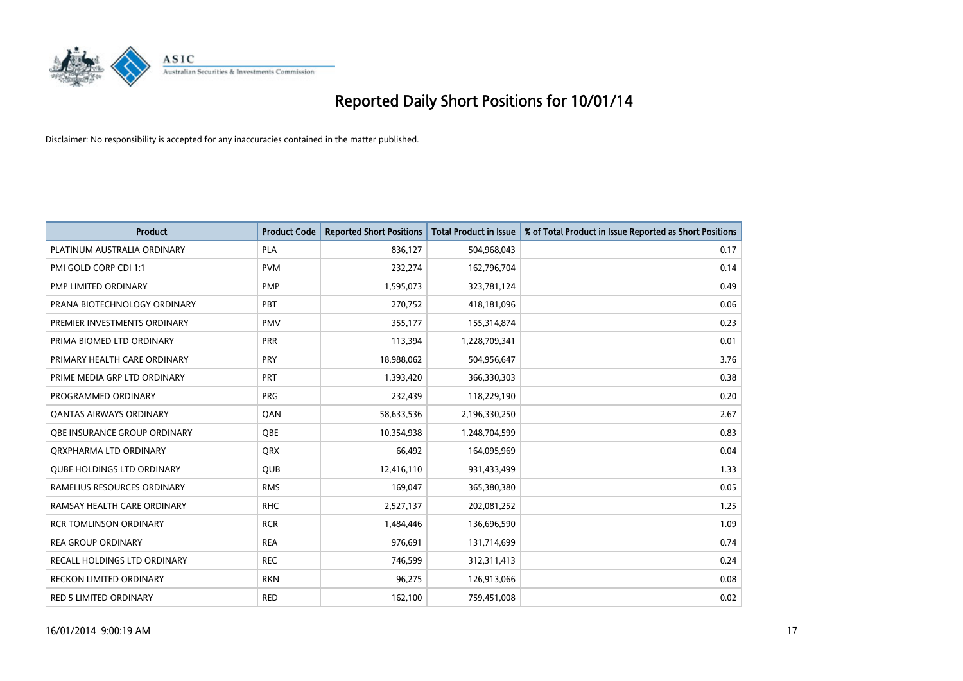

| <b>Product</b>                      | <b>Product Code</b> | <b>Reported Short Positions</b> | <b>Total Product in Issue</b> | % of Total Product in Issue Reported as Short Positions |
|-------------------------------------|---------------------|---------------------------------|-------------------------------|---------------------------------------------------------|
| PLATINUM AUSTRALIA ORDINARY         | <b>PLA</b>          | 836,127                         | 504,968,043                   | 0.17                                                    |
| PMI GOLD CORP CDI 1:1               | <b>PVM</b>          | 232,274                         | 162,796,704                   | 0.14                                                    |
| PMP LIMITED ORDINARY                | <b>PMP</b>          | 1,595,073                       | 323,781,124                   | 0.49                                                    |
| PRANA BIOTECHNOLOGY ORDINARY        | PBT                 | 270,752                         | 418,181,096                   | 0.06                                                    |
| PREMIER INVESTMENTS ORDINARY        | <b>PMV</b>          | 355,177                         | 155,314,874                   | 0.23                                                    |
| PRIMA BIOMED LTD ORDINARY           | PRR                 | 113,394                         | 1,228,709,341                 | 0.01                                                    |
| PRIMARY HEALTH CARE ORDINARY        | <b>PRY</b>          | 18,988,062                      | 504,956,647                   | 3.76                                                    |
| PRIME MEDIA GRP LTD ORDINARY        | <b>PRT</b>          | 1,393,420                       | 366,330,303                   | 0.38                                                    |
| PROGRAMMED ORDINARY                 | <b>PRG</b>          | 232,439                         | 118,229,190                   | 0.20                                                    |
| OANTAS AIRWAYS ORDINARY             | QAN                 | 58,633,536                      | 2,196,330,250                 | 2.67                                                    |
| <b>OBE INSURANCE GROUP ORDINARY</b> | <b>OBE</b>          | 10,354,938                      | 1,248,704,599                 | 0.83                                                    |
| ORXPHARMA LTD ORDINARY              | <b>QRX</b>          | 66,492                          | 164,095,969                   | 0.04                                                    |
| <b>QUBE HOLDINGS LTD ORDINARY</b>   | <b>QUB</b>          | 12,416,110                      | 931,433,499                   | 1.33                                                    |
| RAMELIUS RESOURCES ORDINARY         | <b>RMS</b>          | 169,047                         | 365,380,380                   | 0.05                                                    |
| RAMSAY HEALTH CARE ORDINARY         | <b>RHC</b>          | 2,527,137                       | 202,081,252                   | 1.25                                                    |
| <b>RCR TOMLINSON ORDINARY</b>       | <b>RCR</b>          | 1,484,446                       | 136,696,590                   | 1.09                                                    |
| <b>REA GROUP ORDINARY</b>           | <b>REA</b>          | 976,691                         | 131,714,699                   | 0.74                                                    |
| RECALL HOLDINGS LTD ORDINARY        | <b>REC</b>          | 746,599                         | 312,311,413                   | 0.24                                                    |
| <b>RECKON LIMITED ORDINARY</b>      | <b>RKN</b>          | 96,275                          | 126,913,066                   | 0.08                                                    |
| RED 5 LIMITED ORDINARY              | <b>RED</b>          | 162,100                         | 759,451,008                   | 0.02                                                    |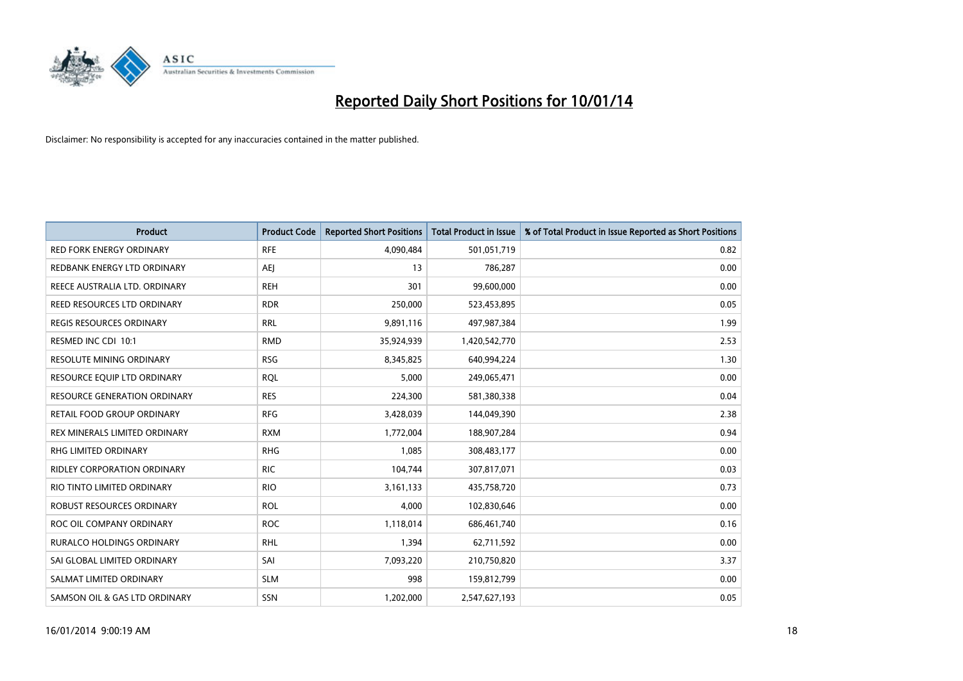

| <b>Product</b>                      | <b>Product Code</b> | <b>Reported Short Positions</b> | <b>Total Product in Issue</b> | % of Total Product in Issue Reported as Short Positions |
|-------------------------------------|---------------------|---------------------------------|-------------------------------|---------------------------------------------------------|
| <b>RED FORK ENERGY ORDINARY</b>     | <b>RFE</b>          | 4,090,484                       | 501,051,719                   | 0.82                                                    |
| REDBANK ENERGY LTD ORDINARY         | AEJ                 | 13                              | 786,287                       | 0.00                                                    |
| REECE AUSTRALIA LTD. ORDINARY       | <b>REH</b>          | 301                             | 99,600,000                    | 0.00                                                    |
| REED RESOURCES LTD ORDINARY         | <b>RDR</b>          | 250,000                         | 523,453,895                   | 0.05                                                    |
| <b>REGIS RESOURCES ORDINARY</b>     | <b>RRL</b>          | 9,891,116                       | 497,987,384                   | 1.99                                                    |
| RESMED INC CDI 10:1                 | <b>RMD</b>          | 35,924,939                      | 1,420,542,770                 | 2.53                                                    |
| <b>RESOLUTE MINING ORDINARY</b>     | <b>RSG</b>          | 8,345,825                       | 640,994,224                   | 1.30                                                    |
| RESOURCE EQUIP LTD ORDINARY         | <b>RQL</b>          | 5,000                           | 249,065,471                   | 0.00                                                    |
| <b>RESOURCE GENERATION ORDINARY</b> | <b>RES</b>          | 224,300                         | 581,380,338                   | 0.04                                                    |
| RETAIL FOOD GROUP ORDINARY          | <b>RFG</b>          | 3,428,039                       | 144,049,390                   | 2.38                                                    |
| REX MINERALS LIMITED ORDINARY       | <b>RXM</b>          | 1,772,004                       | 188,907,284                   | 0.94                                                    |
| RHG LIMITED ORDINARY                | <b>RHG</b>          | 1,085                           | 308,483,177                   | 0.00                                                    |
| RIDLEY CORPORATION ORDINARY         | <b>RIC</b>          | 104,744                         | 307,817,071                   | 0.03                                                    |
| RIO TINTO LIMITED ORDINARY          | <b>RIO</b>          | 3,161,133                       | 435,758,720                   | 0.73                                                    |
| ROBUST RESOURCES ORDINARY           | <b>ROL</b>          | 4,000                           | 102,830,646                   | 0.00                                                    |
| ROC OIL COMPANY ORDINARY            | <b>ROC</b>          | 1,118,014                       | 686,461,740                   | 0.16                                                    |
| RURALCO HOLDINGS ORDINARY           | <b>RHL</b>          | 1,394                           | 62,711,592                    | 0.00                                                    |
| SAI GLOBAL LIMITED ORDINARY         | SAI                 | 7,093,220                       | 210,750,820                   | 3.37                                                    |
| SALMAT LIMITED ORDINARY             | <b>SLM</b>          | 998                             | 159,812,799                   | 0.00                                                    |
| SAMSON OIL & GAS LTD ORDINARY       | SSN                 | 1,202,000                       | 2,547,627,193                 | 0.05                                                    |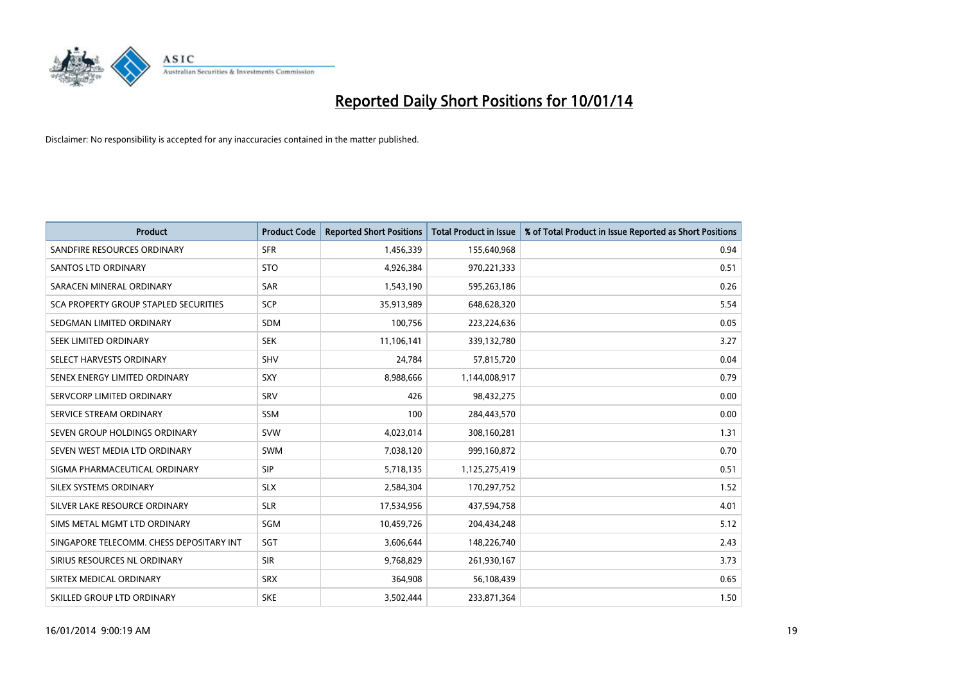

| <b>Product</b>                           | <b>Product Code</b> | <b>Reported Short Positions</b> | <b>Total Product in Issue</b> | % of Total Product in Issue Reported as Short Positions |
|------------------------------------------|---------------------|---------------------------------|-------------------------------|---------------------------------------------------------|
| SANDFIRE RESOURCES ORDINARY              | <b>SFR</b>          | 1,456,339                       | 155,640,968                   | 0.94                                                    |
| SANTOS LTD ORDINARY                      | <b>STO</b>          | 4,926,384                       | 970,221,333                   | 0.51                                                    |
| SARACEN MINERAL ORDINARY                 | <b>SAR</b>          | 1,543,190                       | 595,263,186                   | 0.26                                                    |
| SCA PROPERTY GROUP STAPLED SECURITIES    | <b>SCP</b>          | 35,913,989                      | 648,628,320                   | 5.54                                                    |
| SEDGMAN LIMITED ORDINARY                 | <b>SDM</b>          | 100,756                         | 223,224,636                   | 0.05                                                    |
| SEEK LIMITED ORDINARY                    | <b>SEK</b>          | 11,106,141                      | 339,132,780                   | 3.27                                                    |
| SELECT HARVESTS ORDINARY                 | <b>SHV</b>          | 24,784                          | 57,815,720                    | 0.04                                                    |
| SENEX ENERGY LIMITED ORDINARY            | <b>SXY</b>          | 8,988,666                       | 1,144,008,917                 | 0.79                                                    |
| SERVCORP LIMITED ORDINARY                | SRV                 | 426                             | 98,432,275                    | 0.00                                                    |
| SERVICE STREAM ORDINARY                  | <b>SSM</b>          | 100                             | 284,443,570                   | 0.00                                                    |
| SEVEN GROUP HOLDINGS ORDINARY            | <b>SVW</b>          | 4,023,014                       | 308,160,281                   | 1.31                                                    |
| SEVEN WEST MEDIA LTD ORDINARY            | <b>SWM</b>          | 7,038,120                       | 999,160,872                   | 0.70                                                    |
| SIGMA PHARMACEUTICAL ORDINARY            | <b>SIP</b>          | 5,718,135                       | 1,125,275,419                 | 0.51                                                    |
| SILEX SYSTEMS ORDINARY                   | <b>SLX</b>          | 2,584,304                       | 170,297,752                   | 1.52                                                    |
| SILVER LAKE RESOURCE ORDINARY            | <b>SLR</b>          | 17,534,956                      | 437,594,758                   | 4.01                                                    |
| SIMS METAL MGMT LTD ORDINARY             | SGM                 | 10,459,726                      | 204,434,248                   | 5.12                                                    |
| SINGAPORE TELECOMM. CHESS DEPOSITARY INT | SGT                 | 3,606,644                       | 148,226,740                   | 2.43                                                    |
| SIRIUS RESOURCES NL ORDINARY             | <b>SIR</b>          | 9,768,829                       | 261,930,167                   | 3.73                                                    |
| SIRTEX MEDICAL ORDINARY                  | <b>SRX</b>          | 364,908                         | 56,108,439                    | 0.65                                                    |
| SKILLED GROUP LTD ORDINARY               | <b>SKE</b>          | 3,502,444                       | 233,871,364                   | 1.50                                                    |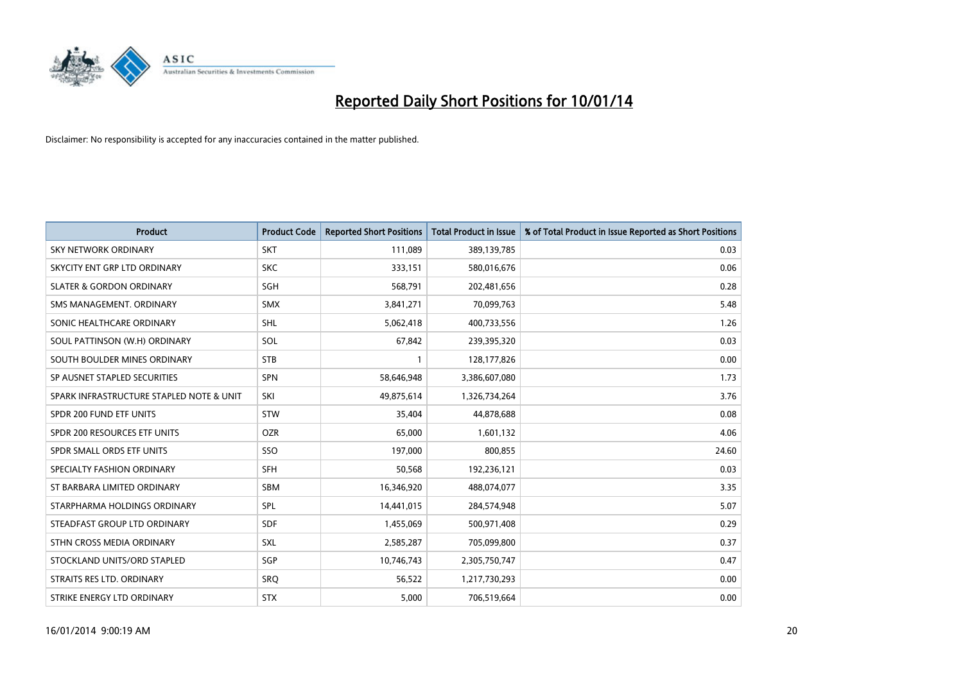

| <b>Product</b>                           | <b>Product Code</b> | <b>Reported Short Positions</b> | <b>Total Product in Issue</b> | % of Total Product in Issue Reported as Short Positions |
|------------------------------------------|---------------------|---------------------------------|-------------------------------|---------------------------------------------------------|
| <b>SKY NETWORK ORDINARY</b>              | <b>SKT</b>          | 111,089                         | 389,139,785                   | 0.03                                                    |
| SKYCITY ENT GRP LTD ORDINARY             | <b>SKC</b>          | 333,151                         | 580,016,676                   | 0.06                                                    |
| <b>SLATER &amp; GORDON ORDINARY</b>      | SGH                 | 568,791                         | 202,481,656                   | 0.28                                                    |
| SMS MANAGEMENT. ORDINARY                 | <b>SMX</b>          | 3,841,271                       | 70,099,763                    | 5.48                                                    |
| SONIC HEALTHCARE ORDINARY                | <b>SHL</b>          | 5,062,418                       | 400,733,556                   | 1.26                                                    |
| SOUL PATTINSON (W.H) ORDINARY            | SOL                 | 67,842                          | 239,395,320                   | 0.03                                                    |
| SOUTH BOULDER MINES ORDINARY             | <b>STB</b>          | 1                               | 128,177,826                   | 0.00                                                    |
| SP AUSNET STAPLED SECURITIES             | SPN                 | 58,646,948                      | 3,386,607,080                 | 1.73                                                    |
| SPARK INFRASTRUCTURE STAPLED NOTE & UNIT | SKI                 | 49,875,614                      | 1,326,734,264                 | 3.76                                                    |
| SPDR 200 FUND ETF UNITS                  | <b>STW</b>          | 35,404                          | 44,878,688                    | 0.08                                                    |
| SPDR 200 RESOURCES ETF UNITS             | <b>OZR</b>          | 65,000                          | 1,601,132                     | 4.06                                                    |
| SPDR SMALL ORDS ETF UNITS                | <b>SSO</b>          | 197,000                         | 800,855                       | 24.60                                                   |
| SPECIALTY FASHION ORDINARY               | <b>SFH</b>          | 50,568                          | 192,236,121                   | 0.03                                                    |
| ST BARBARA LIMITED ORDINARY              | SBM                 | 16,346,920                      | 488,074,077                   | 3.35                                                    |
| STARPHARMA HOLDINGS ORDINARY             | SPL                 | 14,441,015                      | 284,574,948                   | 5.07                                                    |
| STEADFAST GROUP LTD ORDINARY             | <b>SDF</b>          | 1,455,069                       | 500,971,408                   | 0.29                                                    |
| STHN CROSS MEDIA ORDINARY                | <b>SXL</b>          | 2,585,287                       | 705,099,800                   | 0.37                                                    |
| STOCKLAND UNITS/ORD STAPLED              | SGP                 | 10,746,743                      | 2,305,750,747                 | 0.47                                                    |
| STRAITS RES LTD. ORDINARY                | SRQ                 | 56,522                          | 1,217,730,293                 | 0.00                                                    |
| STRIKE ENERGY LTD ORDINARY               | <b>STX</b>          | 5,000                           | 706,519,664                   | 0.00                                                    |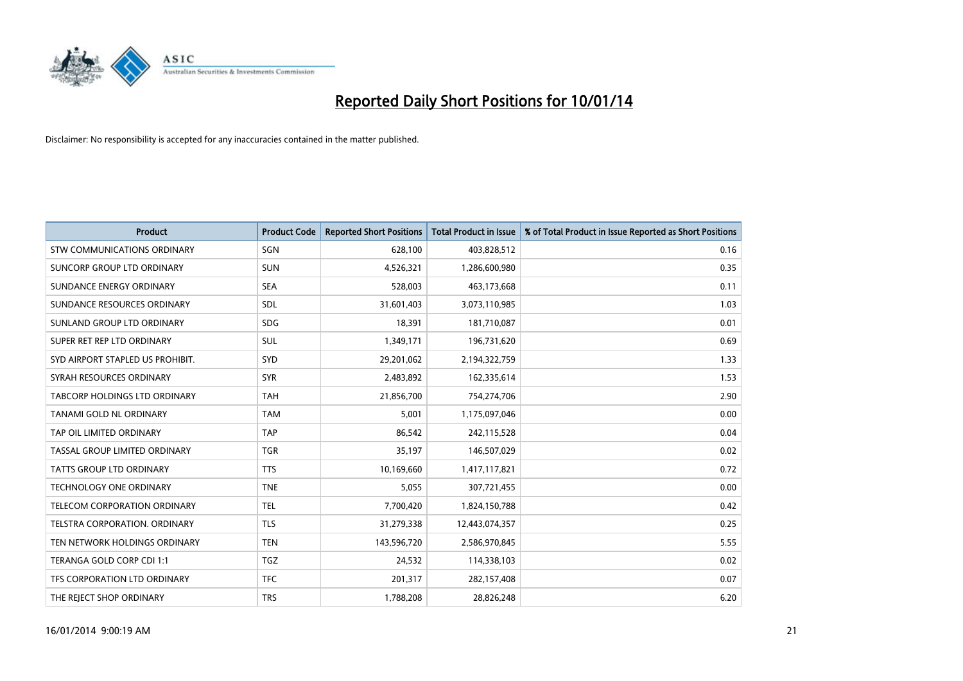

| <b>Product</b>                     | <b>Product Code</b> | <b>Reported Short Positions</b> | <b>Total Product in Issue</b> | % of Total Product in Issue Reported as Short Positions |
|------------------------------------|---------------------|---------------------------------|-------------------------------|---------------------------------------------------------|
| <b>STW COMMUNICATIONS ORDINARY</b> | SGN                 | 628,100                         | 403,828,512                   | 0.16                                                    |
| SUNCORP GROUP LTD ORDINARY         | <b>SUN</b>          | 4,526,321                       | 1,286,600,980                 | 0.35                                                    |
| SUNDANCE ENERGY ORDINARY           | <b>SEA</b>          | 528,003                         | 463,173,668                   | 0.11                                                    |
| SUNDANCE RESOURCES ORDINARY        | SDL                 | 31,601,403                      | 3,073,110,985                 | 1.03                                                    |
| SUNLAND GROUP LTD ORDINARY         | <b>SDG</b>          | 18,391                          | 181,710,087                   | 0.01                                                    |
| SUPER RET REP LTD ORDINARY         | <b>SUL</b>          | 1,349,171                       | 196,731,620                   | 0.69                                                    |
| SYD AIRPORT STAPLED US PROHIBIT.   | <b>SYD</b>          | 29,201,062                      | 2,194,322,759                 | 1.33                                                    |
| SYRAH RESOURCES ORDINARY           | <b>SYR</b>          | 2,483,892                       | 162,335,614                   | 1.53                                                    |
| TABCORP HOLDINGS LTD ORDINARY      | <b>TAH</b>          | 21,856,700                      | 754,274,706                   | 2.90                                                    |
| TANAMI GOLD NL ORDINARY            | <b>TAM</b>          | 5,001                           | 1,175,097,046                 | 0.00                                                    |
| TAP OIL LIMITED ORDINARY           | <b>TAP</b>          | 86,542                          | 242,115,528                   | 0.04                                                    |
| TASSAL GROUP LIMITED ORDINARY      | <b>TGR</b>          | 35,197                          | 146,507,029                   | 0.02                                                    |
| TATTS GROUP LTD ORDINARY           | <b>TTS</b>          | 10,169,660                      | 1,417,117,821                 | 0.72                                                    |
| <b>TECHNOLOGY ONE ORDINARY</b>     | <b>TNE</b>          | 5,055                           | 307,721,455                   | 0.00                                                    |
| TELECOM CORPORATION ORDINARY       | <b>TEL</b>          | 7,700,420                       | 1,824,150,788                 | 0.42                                                    |
| TELSTRA CORPORATION, ORDINARY      | <b>TLS</b>          | 31,279,338                      | 12,443,074,357                | 0.25                                                    |
| TEN NETWORK HOLDINGS ORDINARY      | <b>TEN</b>          | 143,596,720                     | 2,586,970,845                 | 5.55                                                    |
| TERANGA GOLD CORP CDI 1:1          | <b>TGZ</b>          | 24,532                          | 114,338,103                   | 0.02                                                    |
| TFS CORPORATION LTD ORDINARY       | <b>TFC</b>          | 201,317                         | 282,157,408                   | 0.07                                                    |
| THE REJECT SHOP ORDINARY           | <b>TRS</b>          | 1,788,208                       | 28,826,248                    | 6.20                                                    |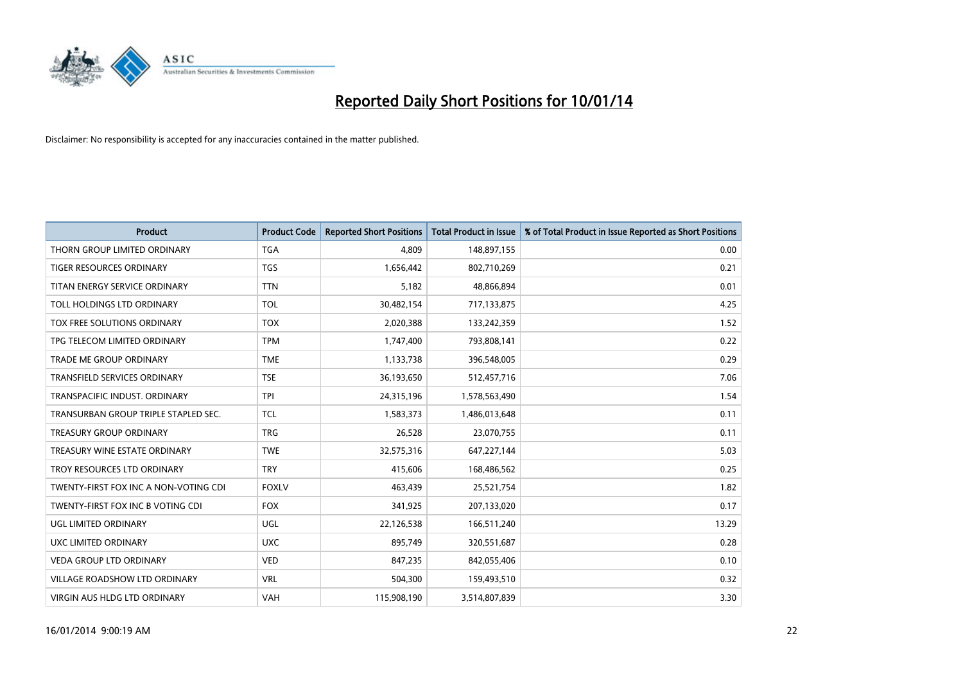

| <b>Product</b>                        | <b>Product Code</b> | <b>Reported Short Positions</b> | <b>Total Product in Issue</b> | % of Total Product in Issue Reported as Short Positions |
|---------------------------------------|---------------------|---------------------------------|-------------------------------|---------------------------------------------------------|
| THORN GROUP LIMITED ORDINARY          | <b>TGA</b>          | 4.809                           | 148,897,155                   | 0.00                                                    |
| TIGER RESOURCES ORDINARY              | <b>TGS</b>          | 1,656,442                       | 802,710,269                   | 0.21                                                    |
| TITAN ENERGY SERVICE ORDINARY         | <b>TTN</b>          | 5,182                           | 48,866,894                    | 0.01                                                    |
| TOLL HOLDINGS LTD ORDINARY            | <b>TOL</b>          | 30,482,154                      | 717,133,875                   | 4.25                                                    |
| TOX FREE SOLUTIONS ORDINARY           | <b>TOX</b>          | 2,020,388                       | 133,242,359                   | 1.52                                                    |
| TPG TELECOM LIMITED ORDINARY          | <b>TPM</b>          | 1,747,400                       | 793,808,141                   | 0.22                                                    |
| TRADE ME GROUP ORDINARY               | <b>TME</b>          | 1,133,738                       | 396,548,005                   | 0.29                                                    |
| TRANSFIELD SERVICES ORDINARY          | <b>TSE</b>          | 36,193,650                      | 512,457,716                   | 7.06                                                    |
| TRANSPACIFIC INDUST, ORDINARY         | <b>TPI</b>          | 24,315,196                      | 1,578,563,490                 | 1.54                                                    |
| TRANSURBAN GROUP TRIPLE STAPLED SEC.  | <b>TCL</b>          | 1,583,373                       | 1,486,013,648                 | 0.11                                                    |
| TREASURY GROUP ORDINARY               | <b>TRG</b>          | 26,528                          | 23,070,755                    | 0.11                                                    |
| TREASURY WINE ESTATE ORDINARY         | <b>TWE</b>          | 32,575,316                      | 647,227,144                   | 5.03                                                    |
| TROY RESOURCES LTD ORDINARY           | <b>TRY</b>          | 415,606                         | 168,486,562                   | 0.25                                                    |
| TWENTY-FIRST FOX INC A NON-VOTING CDI | <b>FOXLV</b>        | 463,439                         | 25,521,754                    | 1.82                                                    |
| TWENTY-FIRST FOX INC B VOTING CDI     | <b>FOX</b>          | 341,925                         | 207,133,020                   | 0.17                                                    |
| UGL LIMITED ORDINARY                  | UGL                 | 22,126,538                      | 166,511,240                   | 13.29                                                   |
| UXC LIMITED ORDINARY                  | <b>UXC</b>          | 895,749                         | 320,551,687                   | 0.28                                                    |
| VEDA GROUP LTD ORDINARY               | <b>VED</b>          | 847,235                         | 842,055,406                   | 0.10                                                    |
| <b>VILLAGE ROADSHOW LTD ORDINARY</b>  | <b>VRL</b>          | 504,300                         | 159,493,510                   | 0.32                                                    |
| VIRGIN AUS HLDG LTD ORDINARY          | <b>VAH</b>          | 115,908,190                     | 3,514,807,839                 | 3.30                                                    |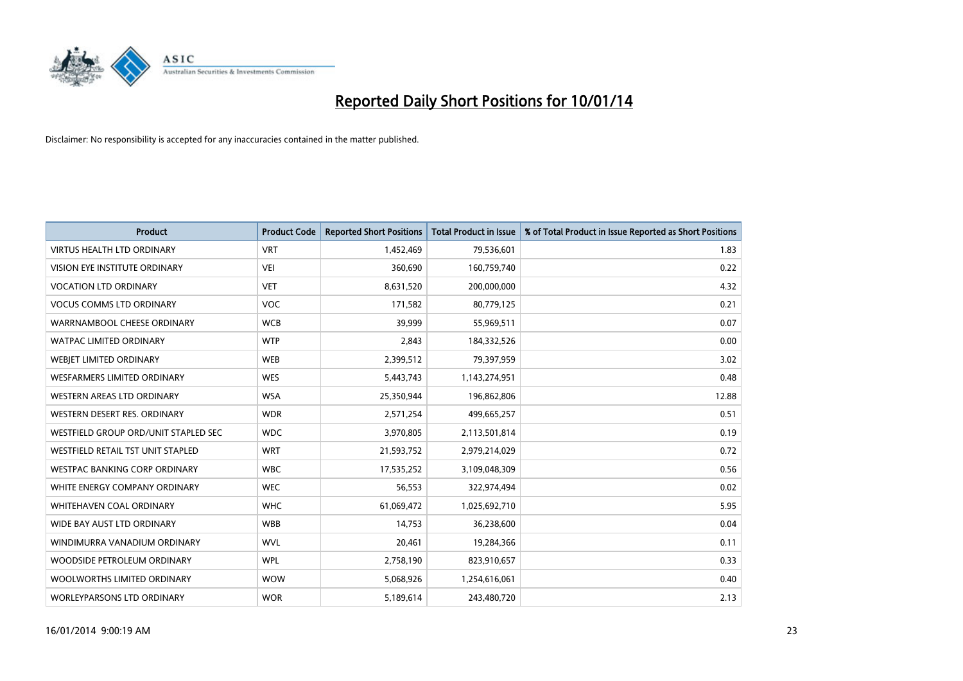

| <b>Product</b>                       | <b>Product Code</b> | <b>Reported Short Positions</b> | <b>Total Product in Issue</b> | % of Total Product in Issue Reported as Short Positions |
|--------------------------------------|---------------------|---------------------------------|-------------------------------|---------------------------------------------------------|
| <b>VIRTUS HEALTH LTD ORDINARY</b>    | <b>VRT</b>          | 1,452,469                       | 79,536,601                    | 1.83                                                    |
| VISION EYE INSTITUTE ORDINARY        | <b>VEI</b>          | 360,690                         | 160,759,740                   | 0.22                                                    |
| <b>VOCATION LTD ORDINARY</b>         | <b>VET</b>          | 8,631,520                       | 200,000,000                   | 4.32                                                    |
| <b>VOCUS COMMS LTD ORDINARY</b>      | <b>VOC</b>          | 171,582                         | 80,779,125                    | 0.21                                                    |
| WARRNAMBOOL CHEESE ORDINARY          | <b>WCB</b>          | 39,999                          | 55,969,511                    | 0.07                                                    |
| <b>WATPAC LIMITED ORDINARY</b>       | <b>WTP</b>          | 2,843                           | 184,332,526                   | 0.00                                                    |
| WEBIET LIMITED ORDINARY              | <b>WEB</b>          | 2,399,512                       | 79,397,959                    | 3.02                                                    |
| <b>WESFARMERS LIMITED ORDINARY</b>   | <b>WES</b>          | 5,443,743                       | 1,143,274,951                 | 0.48                                                    |
| WESTERN AREAS LTD ORDINARY           | <b>WSA</b>          | 25,350,944                      | 196,862,806                   | 12.88                                                   |
| WESTERN DESERT RES. ORDINARY         | <b>WDR</b>          | 2,571,254                       | 499,665,257                   | 0.51                                                    |
| WESTFIELD GROUP ORD/UNIT STAPLED SEC | <b>WDC</b>          | 3,970,805                       | 2,113,501,814                 | 0.19                                                    |
| WESTFIELD RETAIL TST UNIT STAPLED    | <b>WRT</b>          | 21,593,752                      | 2,979,214,029                 | 0.72                                                    |
| <b>WESTPAC BANKING CORP ORDINARY</b> | <b>WBC</b>          | 17,535,252                      | 3,109,048,309                 | 0.56                                                    |
| WHITE ENERGY COMPANY ORDINARY        | <b>WEC</b>          | 56,553                          | 322,974,494                   | 0.02                                                    |
| WHITEHAVEN COAL ORDINARY             | <b>WHC</b>          | 61,069,472                      | 1,025,692,710                 | 5.95                                                    |
| WIDE BAY AUST LTD ORDINARY           | <b>WBB</b>          | 14,753                          | 36,238,600                    | 0.04                                                    |
| WINDIMURRA VANADIUM ORDINARY         | <b>WVL</b>          | 20,461                          | 19,284,366                    | 0.11                                                    |
| WOODSIDE PETROLEUM ORDINARY          | <b>WPL</b>          | 2,758,190                       | 823,910,657                   | 0.33                                                    |
| WOOLWORTHS LIMITED ORDINARY          | <b>WOW</b>          | 5,068,926                       | 1,254,616,061                 | 0.40                                                    |
| <b>WORLEYPARSONS LTD ORDINARY</b>    | <b>WOR</b>          | 5,189,614                       | 243,480,720                   | 2.13                                                    |